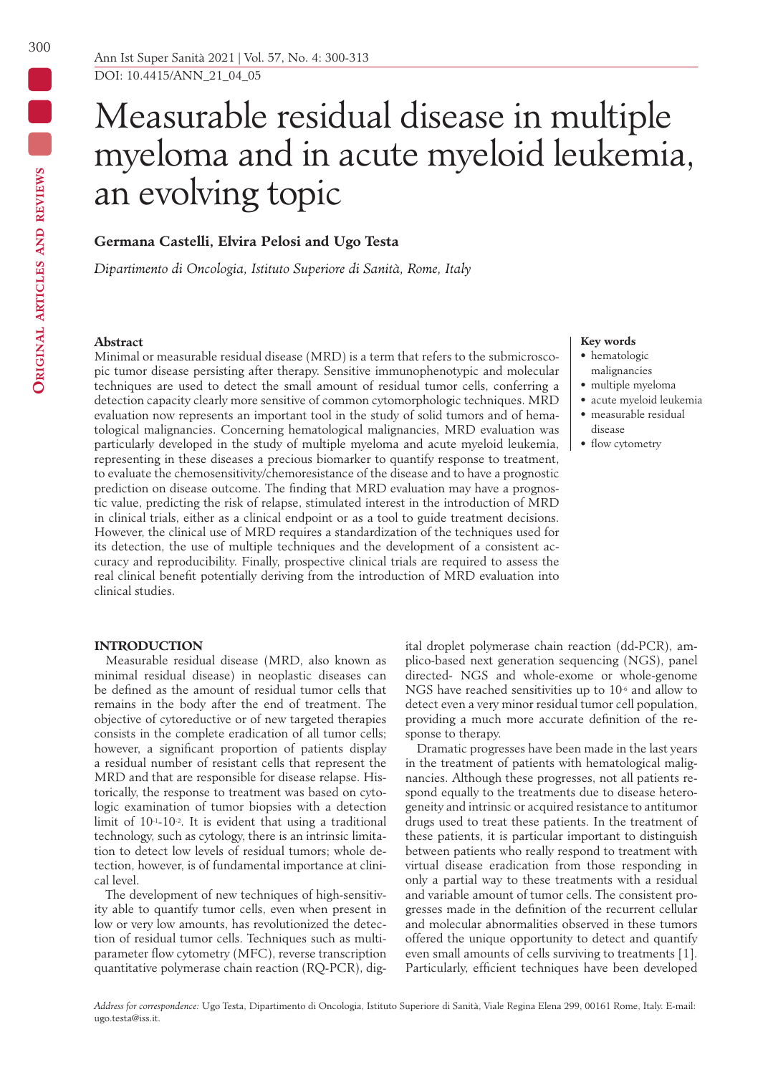DOI: 10.4415/ANN\_21\_04\_05

# Measurable residual disease in multiple myeloma and in acute myeloid leukemia, an evolving topic

# **Germana Castelli, Elvira Pelosi and Ugo Testa**

*Dipartimento di Oncologia, Istituto Superiore di Sanità, Rome, Italy*

# **Abstract**

Minimal or measurable residual disease (MRD) is a term that refers to the submicroscopic tumor disease persisting after therapy. Sensitive immunophenotypic and molecular techniques are used to detect the small amount of residual tumor cells, conferring a detection capacity clearly more sensitive of common cytomorphologic techniques. MRD evaluation now represents an important tool in the study of solid tumors and of hematological malignancies. Concerning hematological malignancies, MRD evaluation was particularly developed in the study of multiple myeloma and acute myeloid leukemia, representing in these diseases a precious biomarker to quantify response to treatment, to evaluate the chemosensitivity/chemoresistance of the disease and to have a prognostic prediction on disease outcome. The finding that MRD evaluation may have a prognostic value, predicting the risk of relapse, stimulated interest in the introduction of MRD in clinical trials, either as a clinical endpoint or as a tool to guide treatment decisions. However, the clinical use of MRD requires a standardization of the techniques used for its detection, the use of multiple techniques and the development of a consistent accuracy and reproducibility. Finally, prospective clinical trials are required to assess the real clinical benefit potentially deriving from the introduction of MRD evaluation into clinical studies.

# **INTRODUCTION**

Measurable residual disease (MRD, also known as minimal residual disease) in neoplastic diseases can be defined as the amount of residual tumor cells that remains in the body after the end of treatment. The objective of cytoreductive or of new targeted therapies consists in the complete eradication of all tumor cells; however, a significant proportion of patients display a residual number of resistant cells that represent the MRD and that are responsible for disease relapse. Historically, the response to treatment was based on cytologic examination of tumor biopsies with a detection limit of  $10^{-1}$ -10<sup>-2</sup>. It is evident that using a traditional technology, such as cytology, there is an intrinsic limitation to detect low levels of residual tumors; whole detection, however, is of fundamental importance at clinical level.

The development of new techniques of high-sensitivity able to quantify tumor cells, even when present in low or very low amounts, has revolutionized the detection of residual tumor cells. Techniques such as multiparameter flow cytometry (MFC), reverse transcription quantitative polymerase chain reaction (RQ-PCR), dig-

### **Key words**

- hematologic malignancies
- multiple myeloma
- acute myeloid leukemia • measurable residual disease
- flow cytometry

ital droplet polymerase chain reaction (dd-PCR), amplico-based next generation sequencing (NGS), panel directed- NGS and whole-exome or whole-genome NGS have reached sensitivities up to 10-6 and allow to detect even a very minor residual tumor cell population, providing a much more accurate definition of the response to therapy.

Dramatic progresses have been made in the last years in the treatment of patients with hematological malignancies. Although these progresses, not all patients respond equally to the treatments due to disease heterogeneity and intrinsic or acquired resistance to antitumor drugs used to treat these patients. In the treatment of these patients, it is particular important to distinguish between patients who really respond to treatment with virtual disease eradication from those responding in only a partial way to these treatments with a residual and variable amount of tumor cells. The consistent progresses made in the definition of the recurrent cellular and molecular abnormalities observed in these tumors offered the unique opportunity to detect and quantify even small amounts of cells surviving to treatments [1]. Particularly, efficient techniques have been developed

*Address for correspondence:* Ugo Testa, Dipartimento di Oncologia, Istituto Superiore di Sanità, Viale Regina Elena 299, 00161 Rome, Italy. E-mail: ugo.testa@iss.it.

300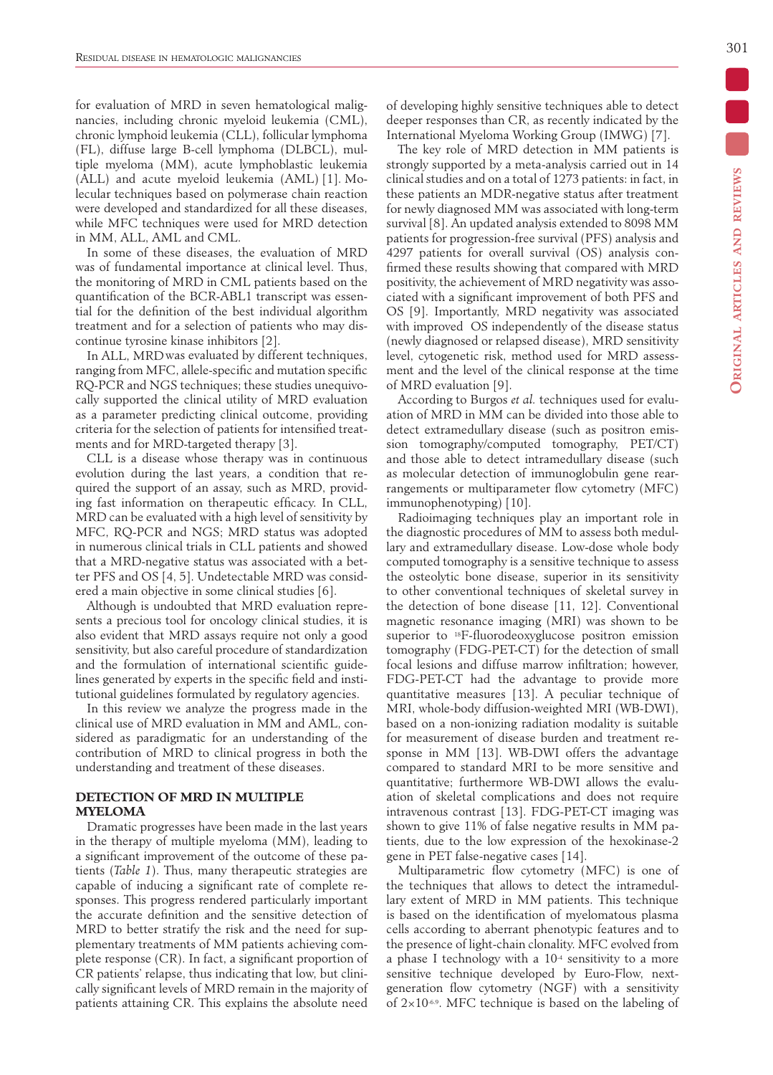for evaluation of MRD in seven hematological malignancies, including chronic myeloid leukemia (CML), chronic lymphoid leukemia (CLL), follicular lymphoma (FL), diffuse large B-cell lymphoma (DLBCL), multiple myeloma (MM), acute lymphoblastic leukemia (ALL) and acute myeloid leukemia (AML) [1]. Molecular techniques based on polymerase chain reaction were developed and standardized for all these diseases, while MFC techniques were used for MRD detection in MM, ALL, AML and CML.

In some of these diseases, the evaluation of MRD was of fundamental importance at clinical level. Thus, the monitoring of MRD in CML patients based on the quantification of the BCR-ABL1 transcript was essential for the definition of the best individual algorithm treatment and for a selection of patients who may discontinue tyrosine kinase inhibitors [2].

In ALL, MRDwas evaluated by different techniques, ranging from MFC, allele-specific and mutation specific RQ-PCR and NGS techniques; these studies unequivocally supported the clinical utility of MRD evaluation as a parameter predicting clinical outcome, providing criteria for the selection of patients for intensified treatments and for MRD-targeted therapy [3].

CLL is a disease whose therapy was in continuous evolution during the last years, a condition that required the support of an assay, such as MRD, providing fast information on therapeutic efficacy. In CLL, MRD can be evaluated with a high level of sensitivity by MFC, RQ-PCR and NGS; MRD status was adopted in numerous clinical trials in CLL patients and showed that a MRD-negative status was associated with a better PFS and OS [4, 5]. Undetectable MRD was considered a main objective in some clinical studies [6].

Although is undoubted that MRD evaluation represents a precious tool for oncology clinical studies, it is also evident that MRD assays require not only a good sensitivity, but also careful procedure of standardization and the formulation of international scientific guidelines generated by experts in the specific field and institutional guidelines formulated by regulatory agencies.

In this review we analyze the progress made in the clinical use of MRD evaluation in MM and AML, considered as paradigmatic for an understanding of the contribution of MRD to clinical progress in both the understanding and treatment of these diseases.

# **DETECTION OF MRD IN MULTIPLE MYELOMA**

Dramatic progresses have been made in the last years in the therapy of multiple myeloma (MM), leading to a significant improvement of the outcome of these patients (*Table 1*). Thus, many therapeutic strategies are capable of inducing a significant rate of complete responses. This progress rendered particularly important the accurate definition and the sensitive detection of MRD to better stratify the risk and the need for supplementary treatments of MM patients achieving complete response (CR). In fact, a significant proportion of CR patients' relapse, thus indicating that low, but clinically significant levels of MRD remain in the majority of patients attaining CR. This explains the absolute need of developing highly sensitive techniques able to detect deeper responses than CR, as recently indicated by the International Myeloma Working Group (IMWG) [7].

The key role of MRD detection in MM patients is strongly supported by a meta-analysis carried out in 14 clinical studies and on a total of 1273 patients: in fact, in these patients an MDR-negative status after treatment for newly diagnosed MM was associated with long-term survival [8]. An updated analysis extended to 8098 MM patients for progression-free survival (PFS) analysis and 4297 patients for overall survival (OS) analysis confirmed these results showing that compared with MRD positivity, the achievement of MRD negativity was associated with a significant improvement of both PFS and OS [9]. Importantly, MRD negativity was associated with improved OS independently of the disease status (newly diagnosed or relapsed disease), MRD sensitivity level, cytogenetic risk, method used for MRD assessment and the level of the clinical response at the time of MRD evaluation [9].

According to Burgos *et al.* techniques used for evaluation of MRD in MM can be divided into those able to detect extramedullary disease (such as positron emission tomography/computed tomography, PET/CT) and those able to detect intramedullary disease (such as molecular detection of immunoglobulin gene rearrangements or multiparameter flow cytometry (MFC) immunophenotyping) [10].

Radioimaging techniques play an important role in the diagnostic procedures of MM to assess both medullary and extramedullary disease. Low-dose whole body computed tomography is a sensitive technique to assess the osteolytic bone disease, superior in its sensitivity to other conventional techniques of skeletal survey in the detection of bone disease [11, 12]. Conventional magnetic resonance imaging (MRI) was shown to be superior to 18F-fluorodeoxyglucose positron emission tomography (FDG-PET-CT) for the detection of small focal lesions and diffuse marrow infiltration; however, FDG-PET-CT had the advantage to provide more quantitative measures [13]. A peculiar technique of MRI, whole-body diffusion-weighted MRI (WB-DWI), based on a non-ionizing radiation modality is suitable for measurement of disease burden and treatment response in MM [13]. WB-DWI offers the advantage compared to standard MRI to be more sensitive and quantitative; furthermore WB-DWI allows the evaluation of skeletal complications and does not require intravenous contrast [13]. FDG-PET-CT imaging was shown to give 11% of false negative results in MM patients, due to the low expression of the hexokinase-2 gene in PET false-negative cases [14].

Multiparametric flow cytometry (MFC) is one of the techniques that allows to detect the intramedullary extent of MRD in MM patients. This technique is based on the identification of myelomatous plasma cells according to aberrant phenotypic features and to the presence of light-chain clonality. MFC evolved from a phase I technology with a 10-4 sensitivity to a more sensitive technique developed by Euro-Flow, nextgeneration flow cytometry (NGF) with a sensitivity of 2×10-6.9. MFC technique is based on the labeling of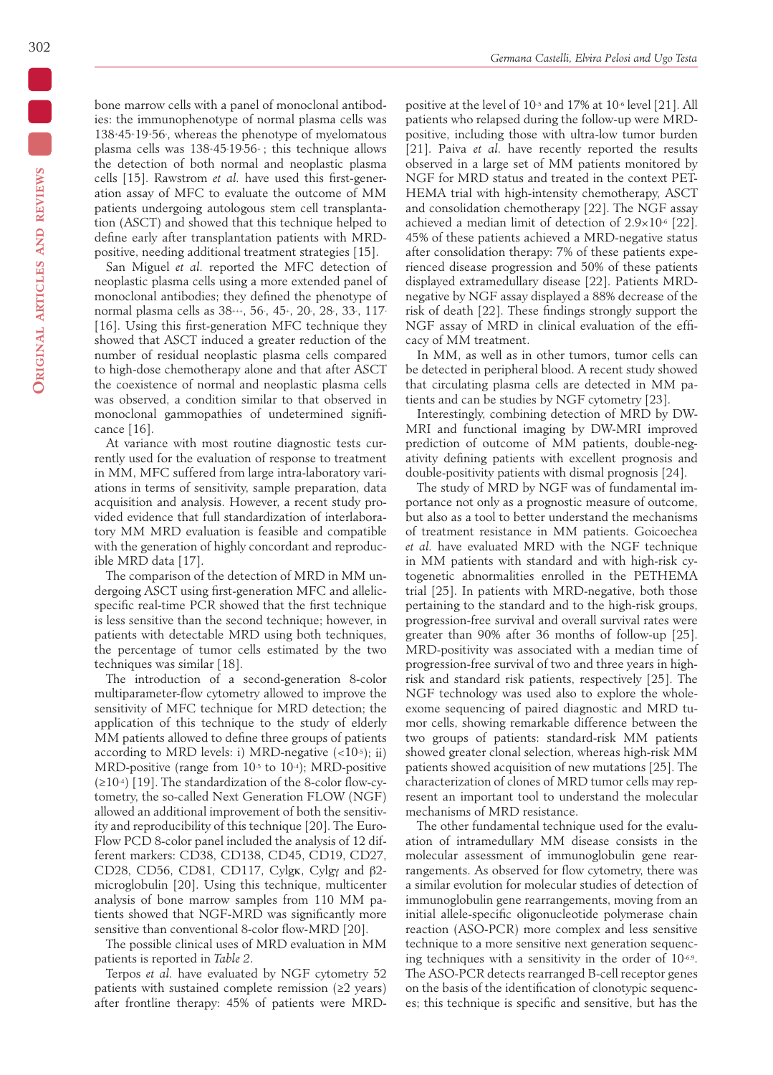bone marrow cells with a panel of monoclonal antibodies: the immunophenotype of normal plasma cells was 138+45+19+56- , whereas the phenotype of myelomatous plasma cells was 138+45- 19- 56+ ; this technique allows the detection of both normal and neoplastic plasma cells [15]. Rawstrom *et al.* have used this first-generation assay of MFC to evaluate the outcome of MM patients undergoing autologous stem cell transplantation (ASCT) and showed that this technique helped to define early after transplantation patients with MRDpositive, needing additional treatment strategies [15].

San Miguel *et al.* reported the MFC detection of neoplastic plasma cells using a more extended panel of monoclonal antibodies; they defined the phenotype of normal plasma cells as 38+++, 56-, 45+, 20-, 28-, 33-, 117-[16]. Using this first-generation MFC technique they showed that ASCT induced a greater reduction of the number of residual neoplastic plasma cells compared to high-dose chemotherapy alone and that after ASCT the coexistence of normal and neoplastic plasma cells was observed, a condition similar to that observed in monoclonal gammopathies of undetermined significance [16].

At variance with most routine diagnostic tests currently used for the evaluation of response to treatment in MM, MFC suffered from large intra-laboratory variations in terms of sensitivity, sample preparation, data acquisition and analysis. However, a recent study provided evidence that full standardization of interlaboratory MM MRD evaluation is feasible and compatible with the generation of highly concordant and reproducible MRD data [17].

The comparison of the detection of MRD in MM undergoing ASCT using first-generation MFC and allelicspecific real-time PCR showed that the first technique is less sensitive than the second technique; however, in patients with detectable MRD using both techniques, the percentage of tumor cells estimated by the two techniques was similar [18].

The introduction of a second-generation 8-color multiparameter-flow cytometry allowed to improve the sensitivity of MFC technique for MRD detection; the application of this technique to the study of elderly MM patients allowed to define three groups of patients according to MRD levels: i) MRD-negative  $\left($  < 10<sup>-5</sup>); ii) MRD-positive (range from 10-5 to 10-4); MRD-positive (≥10-4) [19]. The standardization of the 8-color flow-cytometry, the so-called Next Generation FLOW (NGF) allowed an additional improvement of both the sensitivity and reproducibility of this technique [20]. The Euro-Flow PCD 8-color panel included the analysis of 12 different markers: CD38, CD138, CD45, CD19, CD27, CD28, CD56, CD81, CD117, Cylgκ, Cylgγ and β2microglobulin [20]. Using this technique, multicenter analysis of bone marrow samples from 110 MM patients showed that NGF-MRD was significantly more sensitive than conventional 8-color flow-MRD [20].

The possible clinical uses of MRD evaluation in MM patients is reported in *Table 2*.

Terpos *et al.* have evaluated by NGF cytometry 52 patients with sustained complete remission  $(≥2 \text{ years})$ after frontline therapy: 45% of patients were MRD-

positive at the level of 10-5 and 17% at 10-6 level [21]. All patients who relapsed during the follow-up were MRDpositive, including those with ultra-low tumor burden [21]. Paiva *et al.* have recently reported the results observed in a large set of MM patients monitored by NGF for MRD status and treated in the context PET-HEMA trial with high-intensity chemotherapy, ASCT and consolidation chemotherapy [22]. The NGF assay achieved a median limit of detection of  $2.9 \times 10^{-6}$  [22]. 45% of these patients achieved a MRD-negative status after consolidation therapy: 7% of these patients experienced disease progression and 50% of these patients displayed extramedullary disease [22]. Patients MRDnegative by NGF assay displayed a 88% decrease of the risk of death [22]. These findings strongly support the NGF assay of MRD in clinical evaluation of the efficacy of MM treatment.

In MM, as well as in other tumors, tumor cells can be detected in peripheral blood. A recent study showed that circulating plasma cells are detected in MM patients and can be studies by NGF cytometry [23].

Interestingly, combining detection of MRD by DW-MRI and functional imaging by DW-MRI improved prediction of outcome of MM patients, double-negativity defining patients with excellent prognosis and double-positivity patients with dismal prognosis [24].

The study of MRD by NGF was of fundamental importance not only as a prognostic measure of outcome, but also as a tool to better understand the mechanisms of treatment resistance in MM patients. Goicoechea *et al.* have evaluated MRD with the NGF technique in MM patients with standard and with high-risk cytogenetic abnormalities enrolled in the PETHEMA trial [25]. In patients with MRD-negative, both those pertaining to the standard and to the high-risk groups, progression-free survival and overall survival rates were greater than 90% after 36 months of follow-up [25]. MRD-positivity was associated with a median time of progression-free survival of two and three years in highrisk and standard risk patients, respectively [25]. The NGF technology was used also to explore the wholeexome sequencing of paired diagnostic and MRD tumor cells, showing remarkable difference between the two groups of patients: standard-risk MM patients showed greater clonal selection, whereas high-risk MM patients showed acquisition of new mutations [25]. The characterization of clones of MRD tumor cells may represent an important tool to understand the molecular mechanisms of MRD resistance.

The other fundamental technique used for the evaluation of intramedullary MM disease consists in the molecular assessment of immunoglobulin gene rearrangements. As observed for flow cytometry, there was a similar evolution for molecular studies of detection of immunoglobulin gene rearrangements, moving from an initial allele-specific oligonucleotide polymerase chain reaction (ASO-PCR) more complex and less sensitive technique to a more sensitive next generation sequencing techniques with a sensitivity in the order of 10-6.9. The ASO-PCR detects rearranged B-cell receptor genes on the basis of the identification of clonotypic sequences; this technique is specific and sensitive, but has the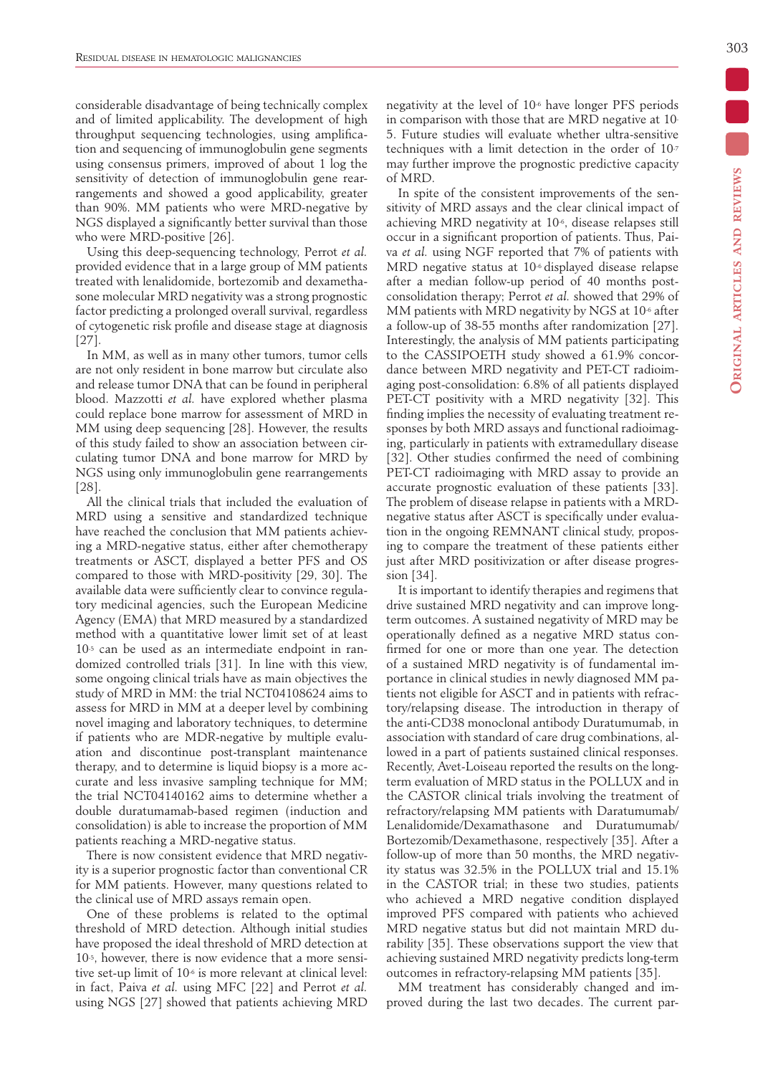considerable disadvantage of being technically complex and of limited applicability. The development of high throughput sequencing technologies, using amplification and sequencing of immunoglobulin gene segments using consensus primers, improved of about 1 log the sensitivity of detection of immunoglobulin gene rearrangements and showed a good applicability, greater than 90%. MM patients who were MRD-negative by NGS displayed a significantly better survival than those who were MRD-positive [26].

Using this deep-sequencing technology, Perrot *et al.*  provided evidence that in a large group of MM patients treated with lenalidomide, bortezomib and dexamethasone molecular MRD negativity was a strong prognostic factor predicting a prolonged overall survival, regardless of cytogenetic risk profile and disease stage at diagnosis [27].

In MM, as well as in many other tumors, tumor cells are not only resident in bone marrow but circulate also and release tumor DNA that can be found in peripheral blood. Mazzotti *et al.* have explored whether plasma could replace bone marrow for assessment of MRD in MM using deep sequencing [28]. However, the results of this study failed to show an association between circulating tumor DNA and bone marrow for MRD by NGS using only immunoglobulin gene rearrangements [28].

All the clinical trials that included the evaluation of MRD using a sensitive and standardized technique have reached the conclusion that MM patients achieving a MRD-negative status, either after chemotherapy treatments or ASCT, displayed a better PFS and OS compared to those with MRD-positivity [29, 30]. The available data were sufficiently clear to convince regulatory medicinal agencies, such the European Medicine Agency (EMA) that MRD measured by a standardized method with a quantitative lower limit set of at least 10-5 can be used as an intermediate endpoint in randomized controlled trials [31]. In line with this view, some ongoing clinical trials have as main objectives the study of MRD in MM: the trial NCT04108624 aims to assess for MRD in MM at a deeper level by combining novel imaging and laboratory techniques, to determine if patients who are MDR-negative by multiple evaluation and discontinue post-transplant maintenance therapy, and to determine is liquid biopsy is a more accurate and less invasive sampling technique for MM; the trial NCT04140162 aims to determine whether a double duratumamab-based regimen (induction and consolidation) is able to increase the proportion of MM patients reaching a MRD-negative status.

There is now consistent evidence that MRD negativity is a superior prognostic factor than conventional CR for MM patients. However, many questions related to the clinical use of MRD assays remain open.

One of these problems is related to the optimal threshold of MRD detection. Although initial studies have proposed the ideal threshold of MRD detection at 10-5, however, there is now evidence that a more sensitive set-up limit of 10-6 is more relevant at clinical level: in fact, Paiva *et al.* using MFC [22] and Perrot *et al.* using NGS [27] showed that patients achieving MRD negativity at the level of 10-6 have longer PFS periods in comparison with those that are MRD negative at 10- 5. Future studies will evaluate whether ultra-sensitive techniques with a limit detection in the order of 10-7 may further improve the prognostic predictive capacity of MRD.

In spite of the consistent improvements of the sensitivity of MRD assays and the clear clinical impact of achieving MRD negativity at 10-6, disease relapses still occur in a significant proportion of patients. Thus, Paiva *et al.* using NGF reported that 7% of patients with MRD negative status at 10-6 displayed disease relapse after a median follow-up period of 40 months postconsolidation therapy; Perrot *et al.* showed that 29% of MM patients with MRD negativity by NGS at 10<sup>-6</sup> after a follow-up of 38-55 months after randomization [27]. Interestingly, the analysis of MM patients participating to the CASSIPOETH study showed a 61.9% concordance between MRD negativity and PET-CT radioimaging post-consolidation: 6.8% of all patients displayed PET-CT positivity with a MRD negativity [32]. This finding implies the necessity of evaluating treatment responses by both MRD assays and functional radioimaging, particularly in patients with extramedullary disease [32]. Other studies confirmed the need of combining PET-CT radioimaging with MRD assay to provide an accurate prognostic evaluation of these patients [33]. The problem of disease relapse in patients with a MRDnegative status after ASCT is specifically under evaluation in the ongoing REMNANT clinical study, proposing to compare the treatment of these patients either just after MRD positivization or after disease progression [34].

It is important to identify therapies and regimens that drive sustained MRD negativity and can improve longterm outcomes. A sustained negativity of MRD may be operationally defined as a negative MRD status confirmed for one or more than one year. The detection of a sustained MRD negativity is of fundamental importance in clinical studies in newly diagnosed MM patients not eligible for ASCT and in patients with refractory/relapsing disease. The introduction in therapy of the anti-CD38 monoclonal antibody Duratumumab, in association with standard of care drug combinations, allowed in a part of patients sustained clinical responses. Recently, Avet-Loiseau reported the results on the longterm evaluation of MRD status in the POLLUX and in the CASTOR clinical trials involving the treatment of refractory/relapsing MM patients with Daratumumab/ Lenalidomide/Dexamathasone and Duratumumab/ Bortezomib/Dexamethasone, respectively [35]. After a follow-up of more than 50 months, the MRD negativity status was 32.5% in the POLLUX trial and 15.1% in the CASTOR trial; in these two studies, patients who achieved a MRD negative condition displayed improved PFS compared with patients who achieved MRD negative status but did not maintain MRD durability [35]. These observations support the view that achieving sustained MRD negativity predicts long-term outcomes in refractory-relapsing MM patients [35].

MM treatment has considerably changed and improved during the last two decades. The current par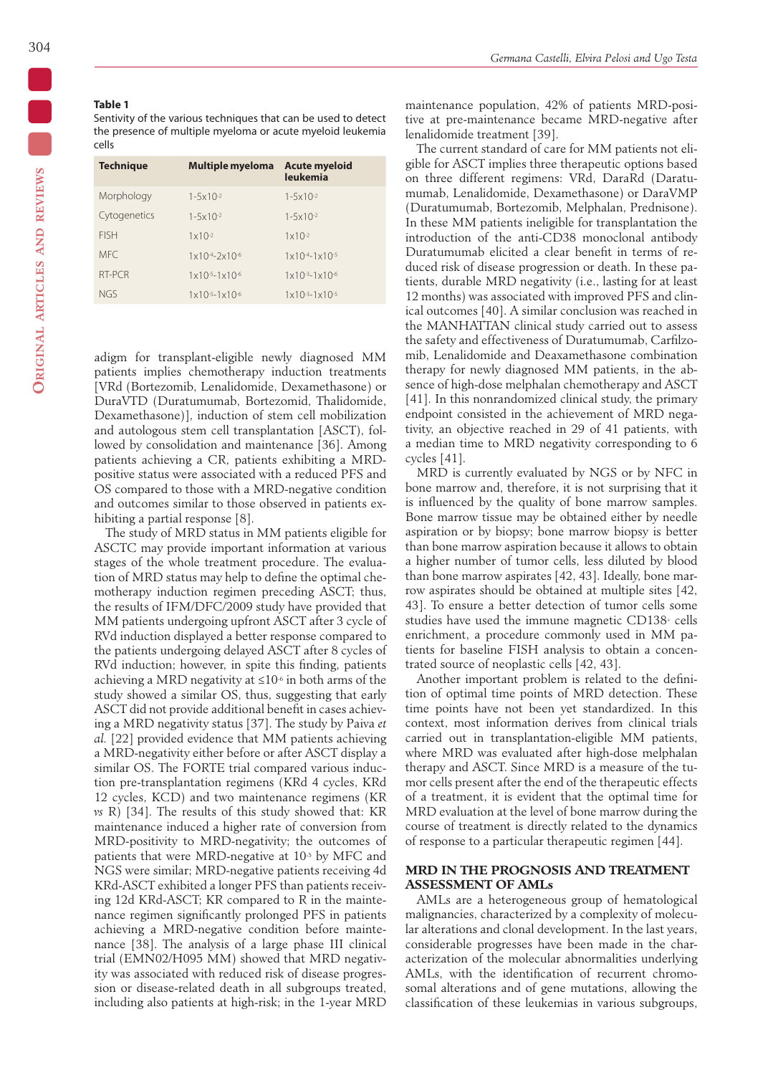Sentivity of the various techniques that can be used to detect the presence of multiple myeloma or acute myeloid leukemia cells

| <b>Technique</b> | Multiple myeloma Acute myeloid        | leukemia                              |
|------------------|---------------------------------------|---------------------------------------|
| Morphology       | $1 - 5 \times 10^{-2}$                | $1 - 5 \times 10^{-2}$                |
| Cytogenetics     | $1 - 5 \times 10^{-2}$                | $1 - 5 \times 10^{-2}$                |
| <b>FISH</b>      | $1x10-2$                              | $1 \times 10^{-2}$                    |
| <b>MFC</b>       | $1 \times 10^{-4} - 2 \times 10^{-6}$ | $1 \times 10^{-4} - 1 \times 10^{-5}$ |
| RT-PCR           | $1 \times 10^{-5} - 1 \times 10^{-6}$ | $1 \times 10^{-3} - 1 \times 10^{-6}$ |
| <b>NGS</b>       | $1 \times 10^{-5} - 1 \times 10^{-6}$ | $1 \times 10^{-3} - 1 \times 10^{-5}$ |

adigm for transplant-eligible newly diagnosed MM patients implies chemotherapy induction treatments [VRd (Bortezomib, Lenalidomide, Dexamethasone) or DuraVTD (Duratumumab, Bortezomid, Thalidomide, Dexamethasone)], induction of stem cell mobilization and autologous stem cell transplantation [ASCT), followed by consolidation and maintenance [36]. Among patients achieving a CR, patients exhibiting a MRDpositive status were associated with a reduced PFS and OS compared to those with a MRD-negative condition and outcomes similar to those observed in patients exhibiting a partial response [8].

The study of MRD status in MM patients eligible for ASCTC may provide important information at various stages of the whole treatment procedure. The evaluation of MRD status may help to define the optimal chemotherapy induction regimen preceding ASCT; thus, the results of IFM/DFC/2009 study have provided that MM patients undergoing upfront ASCT after 3 cycle of RVd induction displayed a better response compared to the patients undergoing delayed ASCT after 8 cycles of RVd induction; however, in spite this finding, patients achieving a MRD negativity at  $\leq 10^{-6}$  in both arms of the study showed a similar OS, thus, suggesting that early ASCT did not provide additional benefit in cases achieving a MRD negativity status [37]. The study by Paiva *et al.* [22] provided evidence that MM patients achieving a MRD-negativity either before or after ASCT display a similar OS. The FORTE trial compared various induction pre-transplantation regimens (KRd 4 cycles, KRd 12 cycles, KCD) and two maintenance regimens (KR *vs* R) [34]. The results of this study showed that: KR maintenance induced a higher rate of conversion from MRD-positivity to MRD-negativity; the outcomes of patients that were MRD-negative at 10-5 by MFC and NGS were similar; MRD-negative patients receiving 4d KRd-ASCT exhibited a longer PFS than patients receiving 12d KRd-ASCT; KR compared to R in the maintenance regimen significantly prolonged PFS in patients achieving a MRD-negative condition before maintenance [38]. The analysis of a large phase III clinical trial (EMN02/H095 MM) showed that MRD negativity was associated with reduced risk of disease progression or disease-related death in all subgroups treated, including also patients at high-risk; in the 1-year MRD

maintenance population, 42% of patients MRD-positive at pre-maintenance became MRD-negative after lenalidomide treatment [39].

The current standard of care for MM patients not eligible for ASCT implies three therapeutic options based on three different regimens: VRd, DaraRd (Daratumumab, Lenalidomide, Dexamethasone) or DaraVMP (Duratumumab, Bortezomib, Melphalan, Prednisone). In these MM patients ineligible for transplantation the introduction of the anti-CD38 monoclonal antibody Duratumumab elicited a clear benefit in terms of reduced risk of disease progression or death. In these patients, durable MRD negativity (i.e., lasting for at least 12 months) was associated with improved PFS and clinical outcomes [40]. A similar conclusion was reached in the MANHATTAN clinical study carried out to assess the safety and effectiveness of Duratumumab, Carfilzomib, Lenalidomide and Deaxamethasone combination therapy for newly diagnosed MM patients, in the absence of high-dose melphalan chemotherapy and ASCT [41]. In this nonrandomized clinical study, the primary endpoint consisted in the achievement of MRD negativity, an objective reached in 29 of 41 patients, with a median time to MRD negativity corresponding to 6 cycles [41].

MRD is currently evaluated by NGS or by NFC in bone marrow and, therefore, it is not surprising that it is influenced by the quality of bone marrow samples. Bone marrow tissue may be obtained either by needle aspiration or by biopsy; bone marrow biopsy is better than bone marrow aspiration because it allows to obtain a higher number of tumor cells, less diluted by blood than bone marrow aspirates [42, 43]. Ideally, bone marrow aspirates should be obtained at multiple sites [42, 43]. To ensure a better detection of tumor cells some studies have used the immune magnetic CD138+ cells enrichment, a procedure commonly used in MM patients for baseline FISH analysis to obtain a concentrated source of neoplastic cells [42, 43].

Another important problem is related to the definition of optimal time points of MRD detection. These time points have not been yet standardized. In this context, most information derives from clinical trials carried out in transplantation-eligible MM patients, where MRD was evaluated after high-dose melphalan therapy and ASCT. Since MRD is a measure of the tumor cells present after the end of the therapeutic effects of a treatment, it is evident that the optimal time for MRD evaluation at the level of bone marrow during the course of treatment is directly related to the dynamics of response to a particular therapeutic regimen [44].

## **MRD IN THE PROGNOSIS AND TREATMENT ASSESSMENT OF AMLs**

AMLs are a heterogeneous group of hematological malignancies, characterized by a complexity of molecular alterations and clonal development. In the last years, considerable progresses have been made in the characterization of the molecular abnormalities underlying AMLs, with the identification of recurrent chromosomal alterations and of gene mutations, allowing the classification of these leukemias in various subgroups,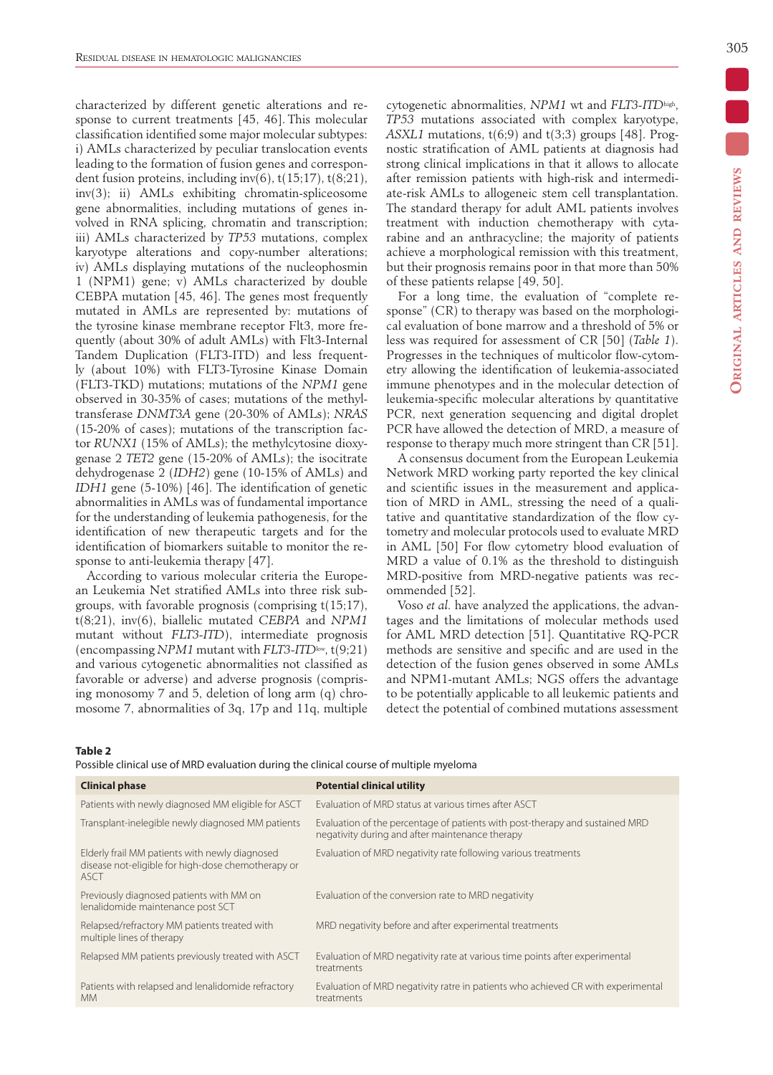characterized by different genetic alterations and response to current treatments [45, 46]. This molecular classification identified some major molecular subtypes: i) AMLs characterized by peculiar translocation events leading to the formation of fusion genes and correspondent fusion proteins, including inv(6),  $t(15;17)$ ,  $t(8;21)$ , inv(3); ii) AMLs exhibiting chromatin-spliceosome gene abnormalities, including mutations of genes involved in RNA splicing, chromatin and transcription; iii) AMLs characterized by *TP53* mutations, complex karyotype alterations and copy-number alterations; iv) AMLs displaying mutations of the nucleophosmin 1 (NPM1) gene; v) AMLs characterized by double CEBPA mutation [45, 46]. The genes most frequently mutated in AMLs are represented by: mutations of the tyrosine kinase membrane receptor Flt3, more frequently (about 30% of adult AMLs) with Flt3-Internal Tandem Duplication (FLT3-ITD) and less frequently (about 10%) with FLT3-Tyrosine Kinase Domain (FLT3-TKD) mutations; mutations of the *NPM1* gene observed in 30-35% of cases; mutations of the methyltransferase *DNMT3A* gene (20-30% of AMLs); *NRAS* (15-20% of cases); mutations of the transcription factor *RUNX1* (15% of AMLs); the methylcytosine dioxygenase 2 *TET2* gene (15-20% of AMLs); the isocitrate dehydrogenase 2 (*IDH2*) gene (10-15% of AMLs) and *IDH1* gene (5-10%) [46]. The identification of genetic abnormalities in AMLs was of fundamental importance for the understanding of leukemia pathogenesis, for the identification of new therapeutic targets and for the identification of biomarkers suitable to monitor the response to anti-leukemia therapy [47].

According to various molecular criteria the European Leukemia Net stratified AMLs into three risk subgroups, with favorable prognosis (comprising t(15;17), t(8;21), inv(6), biallelic mutated *CEBPA* and *NPM1* mutant without *FLT3-ITD*), intermediate prognosis (encompassing *NPM1* mutant with *FLT3-ITD*low, t(9;21) and various cytogenetic abnormalities not classified as favorable or adverse) and adverse prognosis (comprising monosomy 7 and 5, deletion of long arm (q) chromosome 7, abnormalities of 3q, 17p and 11q, multiple cytogenetic abnormalities, *NPM1* wt and *FLT3-ITD*high, *TP53* mutations associated with complex karyotype,  $ASXLI$  mutations,  $t(6,9)$  and  $t(3,3)$  groups [48]. Prognostic stratification of AML patients at diagnosis had strong clinical implications in that it allows to allocate after remission patients with high-risk and intermediate-risk AMLs to allogeneic stem cell transplantation. The standard therapy for adult AML patients involves treatment with induction chemotherapy with cytarabine and an anthracycline; the majority of patients achieve a morphological remission with this treatment, but their prognosis remains poor in that more than 50% of these patients relapse [49, 50].

For a long time, the evaluation of "complete response" (CR) to therapy was based on the morphological evaluation of bone marrow and a threshold of 5% or less was required for assessment of CR [50] (*Table 1*). Progresses in the techniques of multicolor flow-cytometry allowing the identification of leukemia-associated immune phenotypes and in the molecular detection of leukemia-specific molecular alterations by quantitative PCR, next generation sequencing and digital droplet PCR have allowed the detection of MRD, a measure of response to therapy much more stringent than CR [51].

A consensus document from the European Leukemia Network MRD working party reported the key clinical and scientific issues in the measurement and application of MRD in AML, stressing the need of a qualitative and quantitative standardization of the flow cytometry and molecular protocols used to evaluate MRD in AML [50] For flow cytometry blood evaluation of MRD a value of 0.1% as the threshold to distinguish MRD-positive from MRD-negative patients was recommended [52].

Voso *et al.* have analyzed the applications, the advantages and the limitations of molecular methods used for AML MRD detection [51]. Quantitative RQ-PCR methods are sensitive and specific and are used in the detection of the fusion genes observed in some AMLs and NPM1-mutant AMLs; NGS offers the advantage to be potentially applicable to all leukemic patients and detect the potential of combined mutations assessment

#### **Table 2**

Possible clinical use of MRD evaluation during the clinical course of multiple myeloma

| <b>Clinical phase</b>                                                                                        | <b>Potential clinical utility</b>                                                                                               |
|--------------------------------------------------------------------------------------------------------------|---------------------------------------------------------------------------------------------------------------------------------|
| Patients with newly diagnosed MM eligible for ASCT                                                           | Evaluation of MRD status at various times after ASCT                                                                            |
| Transplant-inelegible newly diagnosed MM patients                                                            | Evaluation of the percentage of patients with post-therapy and sustained MRD<br>negativity during and after maintenance therapy |
| Elderly frail MM patients with newly diagnosed<br>disease not-eligible for high-dose chemotherapy or<br>ASCT | Evaluation of MRD negativity rate following various treatments                                                                  |
| Previously diagnosed patients with MM on<br>lenalidomide maintenance post SCT                                | Evaluation of the conversion rate to MRD negativity                                                                             |
| Relapsed/refractory MM patients treated with<br>multiple lines of therapy                                    | MRD negativity before and after experimental treatments                                                                         |
| Relapsed MM patients previously treated with ASCT                                                            | Evaluation of MRD negativity rate at various time points after experimental<br>treatments                                       |
| Patients with relapsed and lenalidomide refractory<br><b>MM</b>                                              | Evaluation of MRD negativity ratre in patients who achieved CR with experimental<br>treatments                                  |
|                                                                                                              |                                                                                                                                 |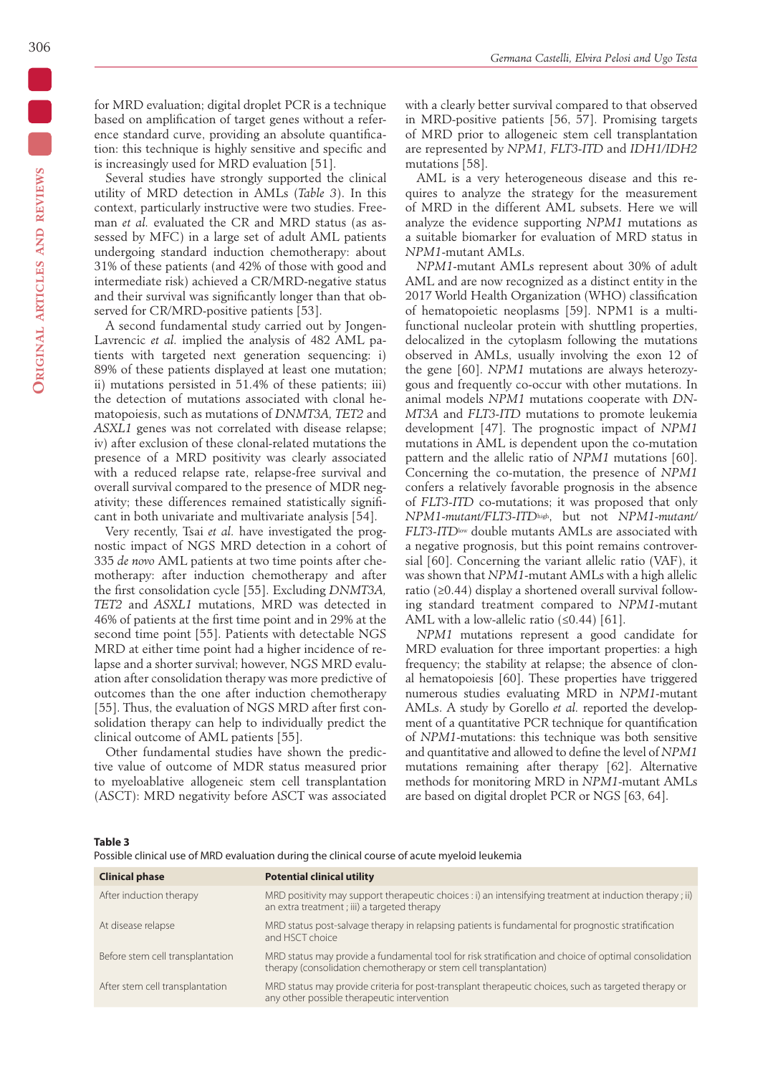for MRD evaluation; digital droplet PCR is a technique based on amplification of target genes without a reference standard curve, providing an absolute quantification: this technique is highly sensitive and specific and is increasingly used for MRD evaluation [51].

Several studies have strongly supported the clinical utility of MRD detection in AMLs (*Table 3*). In this context, particularly instructive were two studies. Freeman *et al.* evaluated the CR and MRD status (as assessed by MFC) in a large set of adult AML patients undergoing standard induction chemotherapy: about 31% of these patients (and 42% of those with good and intermediate risk) achieved a CR/MRD-negative status and their survival was significantly longer than that observed for CR/MRD-positive patients [53].

A second fundamental study carried out by Jongen-Lavrencic *et al.* implied the analysis of 482 AML patients with targeted next generation sequencing: i) 89% of these patients displayed at least one mutation; ii) mutations persisted in 51.4% of these patients; iii) the detection of mutations associated with clonal hematopoiesis, such as mutations of *DNMT3A, TET2* and *ASXL1* genes was not correlated with disease relapse; iv) after exclusion of these clonal-related mutations the presence of a MRD positivity was clearly associated with a reduced relapse rate, relapse-free survival and overall survival compared to the presence of MDR negativity; these differences remained statistically significant in both univariate and multivariate analysis [54].

Very recently, Tsai *et al.* have investigated the prognostic impact of NGS MRD detection in a cohort of 335 *de novo* AML patients at two time points after chemotherapy: after induction chemotherapy and after the first consolidation cycle [55]. Excluding *DNMT3A, TET2* and *ASXL1* mutations, MRD was detected in 46% of patients at the first time point and in 29% at the second time point [55]. Patients with detectable NGS MRD at either time point had a higher incidence of relapse and a shorter survival; however, NGS MRD evaluation after consolidation therapy was more predictive of outcomes than the one after induction chemotherapy [55]. Thus, the evaluation of NGS MRD after first consolidation therapy can help to individually predict the clinical outcome of AML patients [55].

Other fundamental studies have shown the predictive value of outcome of MDR status measured prior to myeloablative allogeneic stem cell transplantation (ASCT): MRD negativity before ASCT was associated with a clearly better survival compared to that observed in MRD-positive patients [56, 57]. Promising targets of MRD prior to allogeneic stem cell transplantation are represented by *NPM1, FLT3-ITD* and *IDH1/IDH2*  mutations [58].

AML is a very heterogeneous disease and this requires to analyze the strategy for the measurement of MRD in the different AML subsets. Here we will analyze the evidence supporting *NPM1* mutations as a suitable biomarker for evaluation of MRD status in *NPM1*-mutant AMLs.

*NPM1*-mutant AMLs represent about 30% of adult AML and are now recognized as a distinct entity in the 2017 World Health Organization (WHO) classification of hematopoietic neoplasms [59]. NPM1 is a multifunctional nucleolar protein with shuttling properties, delocalized in the cytoplasm following the mutations observed in AMLs, usually involving the exon 12 of the gene [60]. *NPM1* mutations are always heterozygous and frequently co-occur with other mutations. In animal models *NPM1* mutations cooperate with *DN-MT3A* and *FLT3-ITD* mutations to promote leukemia development [47]. The prognostic impact of *NPM1* mutations in AML is dependent upon the co-mutation pattern and the allelic ratio of *NPM1* mutations [60]. Concerning the co-mutation, the presence of *NPM1* confers a relatively favorable prognosis in the absence of *FLT3-ITD* co-mutations; it was proposed that only *NPM1-mutant/FLT3-ITD*high, but not *NPM1-mutant/ FLT3-ITD*low double mutants AMLs are associated with a negative prognosis, but this point remains controversial [60]. Concerning the variant allelic ratio (VAF), it was shown that *NPM1*-mutant AMLs with a high allelic ratio (≥0.44) display a shortened overall survival following standard treatment compared to *NPM1*-mutant AML with a low-allelic ratio  $(≤0.44)$  [61].

*NPM1* mutations represent a good candidate for MRD evaluation for three important properties: a high frequency; the stability at relapse; the absence of clonal hematopoiesis [60]. These properties have triggered numerous studies evaluating MRD in *NPM1-*mutant AMLs. A study by Gorello *et al.* reported the development of a quantitative PCR technique for quantification of *NPM1*-mutations: this technique was both sensitive and quantitative and allowed to define the level of *NPM1*  mutations remaining after therapy [62]. Alternative methods for monitoring MRD in *NPM1*-mutant AMLs are based on digital droplet PCR or NGS [63, 64].

#### **Table 3**

| Possible clinical use of MRD evaluation during the clinical course of acute myeloid leukemia |  |  |
|----------------------------------------------------------------------------------------------|--|--|
|                                                                                              |  |  |

| <b>Clinical phase</b>            | <b>Potential clinical utility</b>                                                                                                                                          |
|----------------------------------|----------------------------------------------------------------------------------------------------------------------------------------------------------------------------|
| After induction therapy          | MRD positivity may support therapeutic choices : i) an intensifying treatment at induction therapy; ii)<br>an extra treatment ; iii) a targeted therapy                    |
| At disease relapse               | MRD status post-salvage therapy in relapsing patients is fundamental for prognostic stratification<br>and HSCT choice                                                      |
| Before stem cell transplantation | MRD status may provide a fundamental tool for risk stratification and choice of optimal consolidation<br>therapy (consolidation chemotherapy or stem cell transplantation) |
| After stem cell transplantation  | MRD status may provide criteria for post-transplant therapeutic choices, such as targeted therapy or<br>any other possible therapeutic intervention                        |
|                                  |                                                                                                                                                                            |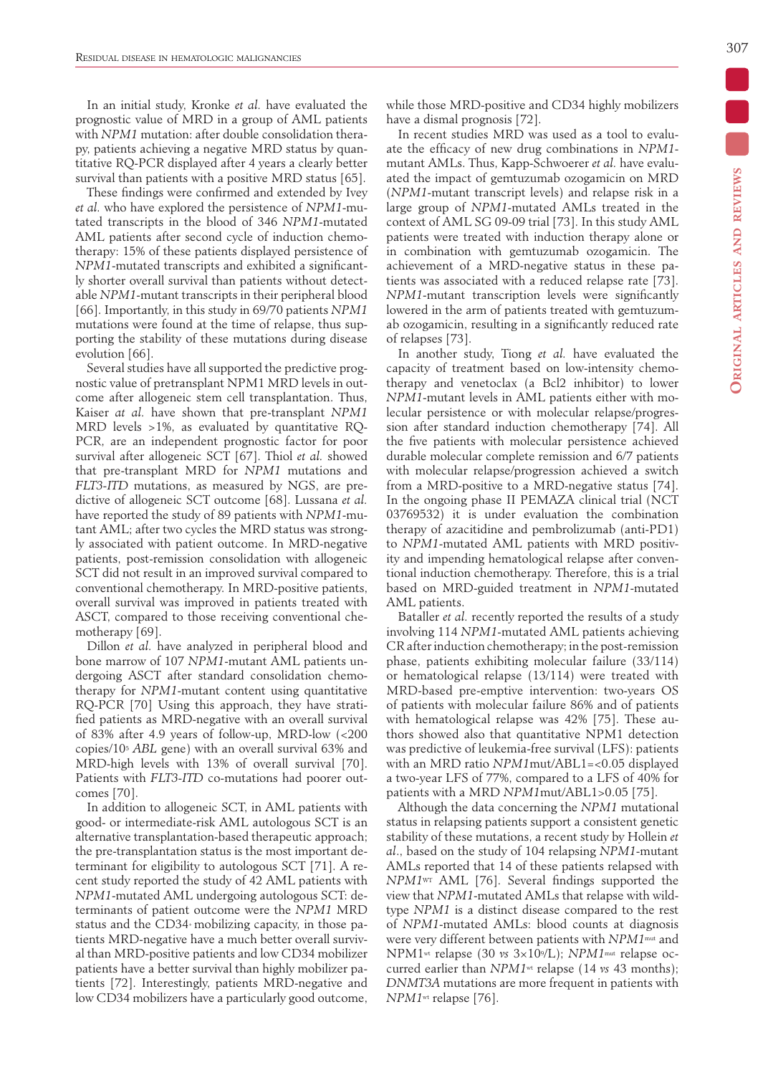In an initial study, Kronke *et al.* have evaluated the prognostic value of MRD in a group of AML patients with *NPM1* mutation: after double consolidation therapy, patients achieving a negative MRD status by quantitative RQ-PCR displayed after 4 years a clearly better survival than patients with a positive MRD status [65].

These findings were confirmed and extended by Ivey *et al.* who have explored the persistence of *NPM1*-mutated transcripts in the blood of 346 *NPM1*-mutated AML patients after second cycle of induction chemotherapy: 15% of these patients displayed persistence of *NPM1*-mutated transcripts and exhibited a significantly shorter overall survival than patients without detectable *NPM1*-mutant transcripts in their peripheral blood [66]. Importantly, in this study in 69/70 patients *NPM1* mutations were found at the time of relapse, thus supporting the stability of these mutations during disease evolution [66].

Several studies have all supported the predictive prognostic value of pretransplant NPM1 MRD levels in outcome after allogeneic stem cell transplantation. Thus, Kaiser *at al.* have shown that pre-transplant *NPM1* MRD levels >1%, as evaluated by quantitative RQ-PCR, are an independent prognostic factor for poor survival after allogeneic SCT [67]. Thiol *et al.* showed that pre-transplant MRD for *NPM1* mutations and *FLT3-ITD* mutations, as measured by NGS, are predictive of allogeneic SCT outcome [68]. Lussana *et al.* have reported the study of 89 patients with *NPM1*-mutant AML; after two cycles the MRD status was strongly associated with patient outcome. In MRD-negative patients, post-remission consolidation with allogeneic SCT did not result in an improved survival compared to conventional chemotherapy. In MRD-positive patients, overall survival was improved in patients treated with ASCT, compared to those receiving conventional chemotherapy [69].

Dillon *et al.* have analyzed in peripheral blood and bone marrow of 107 *NPM1*-mutant AML patients undergoing ASCT after standard consolidation chemotherapy for *NPM1*-mutant content using quantitative RQ-PCR [70] Using this approach, they have stratified patients as MRD-negative with an overall survival of 83% after 4.9 years of follow-up, MRD-low (<200 copies/105 *ABL* gene) with an overall survival 63% and MRD-high levels with 13% of overall survival [70]. Patients with *FLT3-ITD* co-mutations had poorer outcomes [70].

In addition to allogeneic SCT, in AML patients with good- or intermediate-risk AML autologous SCT is an alternative transplantation-based therapeutic approach; the pre-transplantation status is the most important determinant for eligibility to autologous SCT [71]. A recent study reported the study of 42 AML patients with *NPM1*-mutated AML undergoing autologous SCT: determinants of patient outcome were the *NPM1* MRD status and the CD34+ mobilizing capacity, in those patients MRD-negative have a much better overall survival than MRD-positive patients and low CD34 mobilizer patients have a better survival than highly mobilizer patients [72]. Interestingly, patients MRD-negative and low CD34 mobilizers have a particularly good outcome,

while those MRD-positive and CD34 highly mobilizers have a dismal prognosis [72].

In recent studies MRD was used as a tool to evaluate the efficacy of new drug combinations in *NPM1* mutant AMLs. Thus, Kapp-Schwoerer *et al.* have evaluated the impact of gemtuzumab ozogamicin on MRD (*NPM1*-mutant transcript levels) and relapse risk in a large group of *NPM1*-mutated AMLs treated in the context of AML SG 09-09 trial [73]. In this study AML patients were treated with induction therapy alone or in combination with gemtuzumab ozogamicin. The achievement of a MRD-negative status in these patients was associated with a reduced relapse rate [73]. *NPM1*-mutant transcription levels were significantly lowered in the arm of patients treated with gemtuzumab ozogamicin, resulting in a significantly reduced rate of relapses [73].

In another study, Tiong *et al.* have evaluated the capacity of treatment based on low-intensity chemotherapy and venetoclax (a Bcl2 inhibitor) to lower *NPM1*-mutant levels in AML patients either with molecular persistence or with molecular relapse/progression after standard induction chemotherapy [74]. All the five patients with molecular persistence achieved durable molecular complete remission and 6/7 patients with molecular relapse/progression achieved a switch from a MRD-positive to a MRD-negative status [74]. In the ongoing phase II PEMAZA clinical trial (NCT 03769532) it is under evaluation the combination therapy of azacitidine and pembrolizumab (anti-PD1) to *NPM1*-mutated AML patients with MRD positivity and impending hematological relapse after conventional induction chemotherapy. Therefore, this is a trial based on MRD-guided treatment in *NPM1*-mutated AML patients.

Bataller *et al.* recently reported the results of a study involving 114 *NPM1*-mutated AML patients achieving CR after induction chemotherapy; in the post-remission phase, patients exhibiting molecular failure (33/114) or hematological relapse (13/114) were treated with MRD-based pre-emptive intervention: two-years OS of patients with molecular failure 86% and of patients with hematological relapse was 42% [75]. These authors showed also that quantitative NPM1 detection was predictive of leukemia-free survival (LFS): patients with an MRD ratio *NPM1*mut/ABL1=<0.05 displayed a two-year LFS of 77%, compared to a LFS of 40% for patients with a MRD *NPM1*mut/ABL1>0.05 [75].

Although the data concerning the *NPM1* mutational status in relapsing patients support a consistent genetic stability of these mutations, a recent study by Hollein *et al*., based on the study of 104 relapsing *NPM1*-mutant AMLs reported that 14 of these patients relapsed with *NPM1*WT AML [76]. Several findings supported the view that *NPM1*-mutated AMLs that relapse with wildtype *NPM1* is a distinct disease compared to the rest of *NPM1*-mutated AMLs: blood counts at diagnosis were very different between patients with *NPM1*mut and NPM1wt relapse (30 *vs* 3×109/L); *NPM1*mut relapse occurred earlier than *NPM1*wt relapse (14 *vs* 43 months); *DNMT3A* mutations are more frequent in patients with *NPM1*wt relapse [76].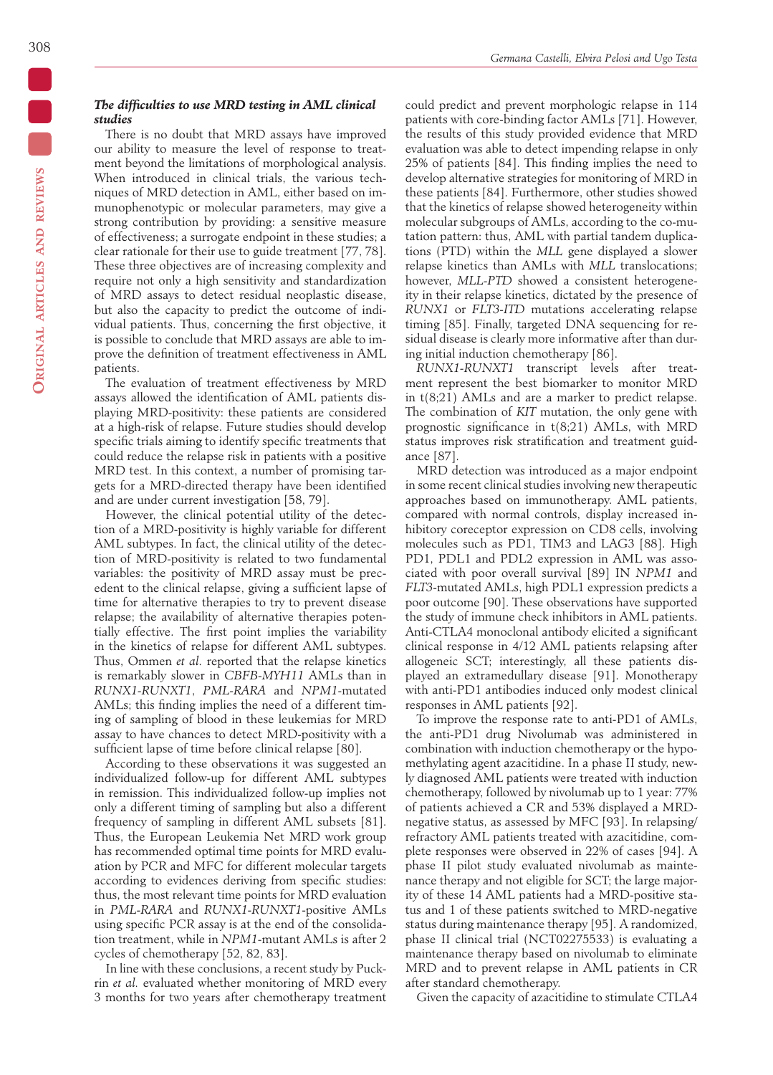## *The difficulties to use MRD testing in AML clinical studies*

There is no doubt that MRD assays have improved our ability to measure the level of response to treatment beyond the limitations of morphological analysis. When introduced in clinical trials, the various techniques of MRD detection in AML, either based on immunophenotypic or molecular parameters, may give a strong contribution by providing: a sensitive measure of effectiveness; a surrogate endpoint in these studies; a clear rationale for their use to guide treatment [77, 78]. These three objectives are of increasing complexity and require not only a high sensitivity and standardization of MRD assays to detect residual neoplastic disease, but also the capacity to predict the outcome of individual patients. Thus, concerning the first objective, it is possible to conclude that MRD assays are able to improve the definition of treatment effectiveness in AML patients.

The evaluation of treatment effectiveness by MRD assays allowed the identification of AML patients displaying MRD-positivity: these patients are considered at a high-risk of relapse. Future studies should develop specific trials aiming to identify specific treatments that could reduce the relapse risk in patients with a positive MRD test. In this context, a number of promising targets for a MRD-directed therapy have been identified and are under current investigation [58, 79].

However, the clinical potential utility of the detection of a MRD-positivity is highly variable for different AML subtypes. In fact, the clinical utility of the detection of MRD-positivity is related to two fundamental variables: the positivity of MRD assay must be precedent to the clinical relapse, giving a sufficient lapse of time for alternative therapies to try to prevent disease relapse; the availability of alternative therapies potentially effective. The first point implies the variability in the kinetics of relapse for different AML subtypes. Thus, Ommen *et al.* reported that the relapse kinetics is remarkably slower in *CBFB-MYH11* AMLs than in *RUNX1-RUNXT1*, *PML-RARA* and *NPM1*-mutated AMLs; this finding implies the need of a different timing of sampling of blood in these leukemias for MRD assay to have chances to detect MRD-positivity with a sufficient lapse of time before clinical relapse [80].

According to these observations it was suggested an individualized follow-up for different AML subtypes in remission. This individualized follow-up implies not only a different timing of sampling but also a different frequency of sampling in different AML subsets [81]. Thus, the European Leukemia Net MRD work group has recommended optimal time points for MRD evaluation by PCR and MFC for different molecular targets according to evidences deriving from specific studies: thus, the most relevant time points for MRD evaluation in *PML-RARA* and *RUNX1-RUNXT1*-positive AMLs using specific PCR assay is at the end of the consolidation treatment, while in *NPM1*-mutant AMLs is after 2 cycles of chemotherapy [52, 82, 83].

In line with these conclusions, a recent study by Puckrin *et al.* evaluated whether monitoring of MRD every 3 months for two years after chemotherapy treatment could predict and prevent morphologic relapse in 114 patients with core-binding factor AMLs [71]. However, the results of this study provided evidence that MRD evaluation was able to detect impending relapse in only 25% of patients [84]. This finding implies the need to develop alternative strategies for monitoring of MRD in these patients [84]. Furthermore, other studies showed that the kinetics of relapse showed heterogeneity within molecular subgroups of AMLs, according to the co-mutation pattern: thus, AML with partial tandem duplications (PTD) within the *MLL* gene displayed a slower relapse kinetics than AMLs with *MLL* translocations; however, *MLL-PTD* showed a consistent heterogeneity in their relapse kinetics, dictated by the presence of *RUNX1* or *FLT3-ITD* mutations accelerating relapse timing [85]. Finally, targeted DNA sequencing for residual disease is clearly more informative after than during initial induction chemotherapy [86].

*RUNX1-RUNXT1* transcript levels after treatment represent the best biomarker to monitor MRD in t(8;21) AMLs and are a marker to predict relapse. The combination of *KIT* mutation, the only gene with prognostic significance in t(8;21) AMLs, with MRD status improves risk stratification and treatment guidance [87].

MRD detection was introduced as a major endpoint in some recent clinical studies involving new therapeutic approaches based on immunotherapy. AML patients, compared with normal controls, display increased inhibitory coreceptor expression on CD8 cells, involving molecules such as PD1, TIM3 and LAG3 [88]. High PD1, PDL1 and PDL2 expression in AML was associated with poor overall survival [89] IN *NPM1* and *FLT3*-mutated AMLs, high PDL1 expression predicts a poor outcome [90]. These observations have supported the study of immune check inhibitors in AML patients. Anti-CTLA4 monoclonal antibody elicited a significant clinical response in 4/12 AML patients relapsing after allogeneic SCT; interestingly, all these patients displayed an extramedullary disease [91]. Monotherapy with anti-PD1 antibodies induced only modest clinical responses in AML patients [92].

To improve the response rate to anti-PD1 of AMLs, the anti-PD1 drug Nivolumab was administered in combination with induction chemotherapy or the hypomethylating agent azacitidine. In a phase II study, newly diagnosed AML patients were treated with induction chemotherapy, followed by nivolumab up to 1 year: 77% of patients achieved a CR and 53% displayed a MRDnegative status, as assessed by MFC [93]. In relapsing/ refractory AML patients treated with azacitidine, complete responses were observed in 22% of cases [94]. A phase II pilot study evaluated nivolumab as maintenance therapy and not eligible for SCT; the large majority of these 14 AML patients had a MRD-positive status and 1 of these patients switched to MRD-negative status during maintenance therapy [95]. A randomized, phase II clinical trial (NCT02275533) is evaluating a maintenance therapy based on nivolumab to eliminate MRD and to prevent relapse in AML patients in CR after standard chemotherapy.

Given the capacity of azacitidine to stimulate CTLA4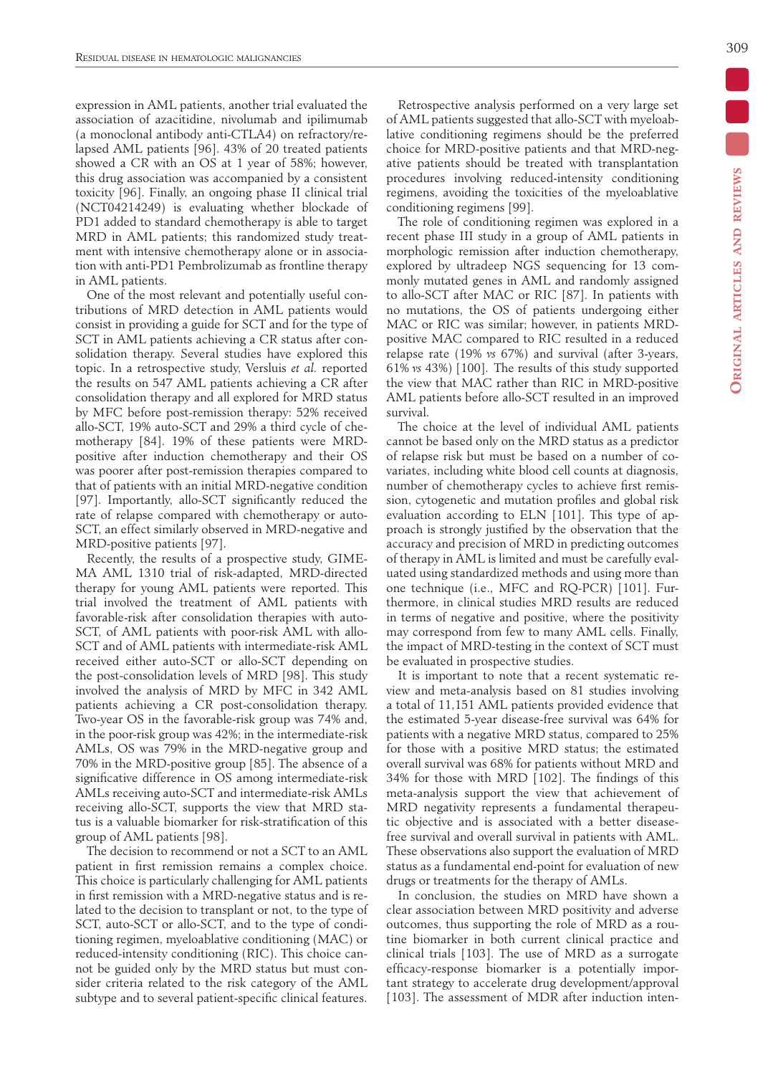expression in AML patients, another trial evaluated the association of azacitidine, nivolumab and ipilimumab (a monoclonal antibody anti-CTLA4) on refractory/relapsed AML patients [96]. 43% of 20 treated patients showed a CR with an OS at 1 year of 58%; however, this drug association was accompanied by a consistent toxicity [96]. Finally, an ongoing phase II clinical trial (NCT04214249) is evaluating whether blockade of PD1 added to standard chemotherapy is able to target MRD in AML patients; this randomized study treatment with intensive chemotherapy alone or in association with anti-PD1 Pembrolizumab as frontline therapy in AML patients.

One of the most relevant and potentially useful contributions of MRD detection in AML patients would consist in providing a guide for SCT and for the type of SCT in AML patients achieving a CR status after consolidation therapy. Several studies have explored this topic. In a retrospective study, Versluis *et al.* reported the results on 547 AML patients achieving a CR after consolidation therapy and all explored for MRD status by MFC before post-remission therapy: 52% received allo-SCT, 19% auto-SCT and 29% a third cycle of chemotherapy [84]. 19% of these patients were MRDpositive after induction chemotherapy and their OS was poorer after post-remission therapies compared to that of patients with an initial MRD-negative condition [97]. Importantly, allo-SCT significantly reduced the rate of relapse compared with chemotherapy or auto-SCT, an effect similarly observed in MRD-negative and MRD-positive patients [97].

Recently, the results of a prospective study, GIME-MA AML 1310 trial of risk-adapted, MRD-directed therapy for young AML patients were reported. This trial involved the treatment of AML patients with favorable-risk after consolidation therapies with auto-SCT, of AML patients with poor-risk AML with allo-SCT and of AML patients with intermediate-risk AML received either auto-SCT or allo-SCT depending on the post-consolidation levels of MRD [98]. This study involved the analysis of MRD by MFC in 342 AML patients achieving a CR post-consolidation therapy. Two-year OS in the favorable-risk group was 74% and, in the poor-risk group was 42%; in the intermediate-risk AMLs, OS was 79% in the MRD-negative group and 70% in the MRD-positive group [85]. The absence of a significative difference in OS among intermediate-risk AMLs receiving auto-SCT and intermediate-risk AMLs receiving allo-SCT, supports the view that MRD status is a valuable biomarker for risk-stratification of this group of AML patients [98].

The decision to recommend or not a SCT to an AML patient in first remission remains a complex choice. This choice is particularly challenging for AML patients in first remission with a MRD-negative status and is related to the decision to transplant or not, to the type of SCT, auto-SCT or allo-SCT, and to the type of conditioning regimen, myeloablative conditioning (MAC) or reduced-intensity conditioning (RIC). This choice cannot be guided only by the MRD status but must consider criteria related to the risk category of the AML subtype and to several patient-specific clinical features.

Retrospective analysis performed on a very large set of AML patients suggested that allo-SCT with myeloablative conditioning regimens should be the preferred choice for MRD-positive patients and that MRD-negative patients should be treated with transplantation procedures involving reduced-intensity conditioning regimens, avoiding the toxicities of the myeloablative conditioning regimens [99].

The role of conditioning regimen was explored in a recent phase III study in a group of AML patients in morphologic remission after induction chemotherapy, explored by ultradeep NGS sequencing for 13 commonly mutated genes in AML and randomly assigned to allo-SCT after MAC or RIC [87]. In patients with no mutations, the OS of patients undergoing either MAC or RIC was similar; however, in patients MRDpositive MAC compared to RIC resulted in a reduced relapse rate (19% *vs* 67%) and survival (after 3-years, 61% *vs* 43%) [100]. The results of this study supported the view that MAC rather than RIC in MRD-positive AML patients before allo-SCT resulted in an improved survival.

The choice at the level of individual AML patients cannot be based only on the MRD status as a predictor of relapse risk but must be based on a number of covariates, including white blood cell counts at diagnosis, number of chemotherapy cycles to achieve first remission, cytogenetic and mutation profiles and global risk evaluation according to ELN [101]. This type of approach is strongly justified by the observation that the accuracy and precision of MRD in predicting outcomes of therapy in AML is limited and must be carefully evaluated using standardized methods and using more than one technique (i.e., MFC and RQ-PCR) [101]. Furthermore, in clinical studies MRD results are reduced in terms of negative and positive, where the positivity may correspond from few to many AML cells. Finally, the impact of MRD-testing in the context of SCT must be evaluated in prospective studies.

It is important to note that a recent systematic review and meta-analysis based on 81 studies involving a total of 11,151 AML patients provided evidence that the estimated 5-year disease-free survival was 64% for patients with a negative MRD status, compared to 25% for those with a positive MRD status; the estimated overall survival was 68% for patients without MRD and 34% for those with MRD [102]. The findings of this meta-analysis support the view that achievement of MRD negativity represents a fundamental therapeutic objective and is associated with a better diseasefree survival and overall survival in patients with AML. These observations also support the evaluation of MRD status as a fundamental end-point for evaluation of new drugs or treatments for the therapy of AMLs.

In conclusion, the studies on MRD have shown a clear association between MRD positivity and adverse outcomes, thus supporting the role of MRD as a routine biomarker in both current clinical practice and clinical trials [103]. The use of MRD as a surrogate efficacy-response biomarker is a potentially important strategy to accelerate drug development/approval [103]. The assessment of MDR after induction inten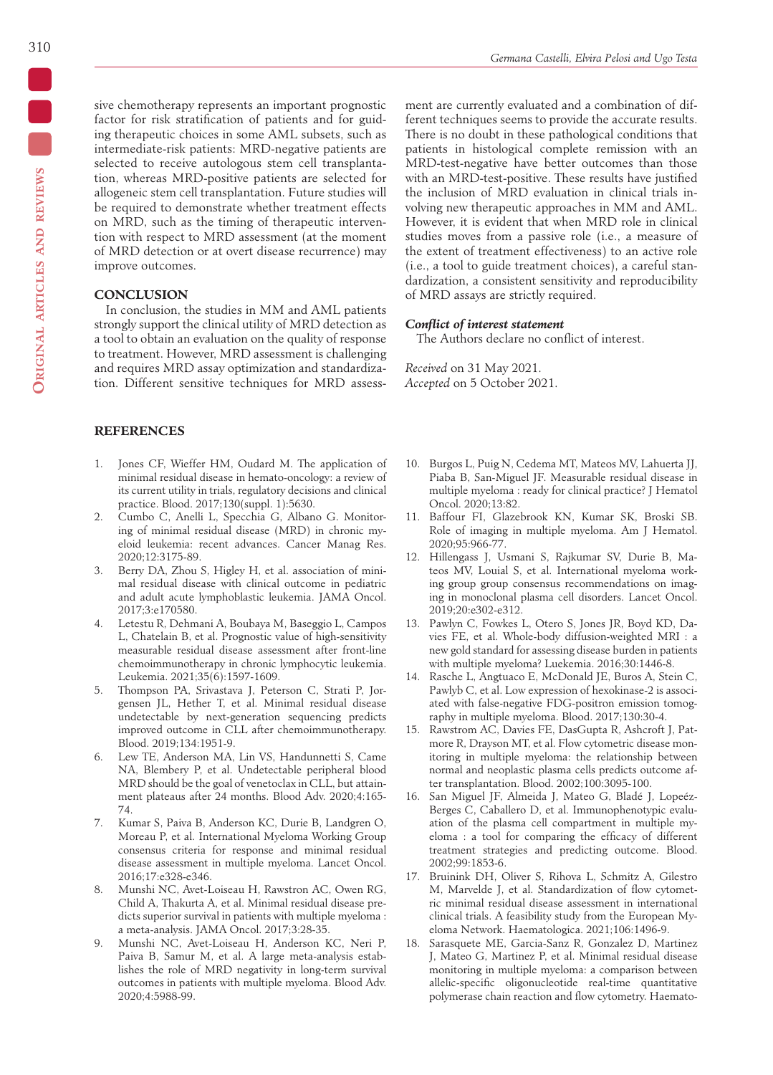sive chemotherapy represents an important prognostic factor for risk stratification of patients and for guiding therapeutic choices in some AML subsets, such as intermediate-risk patients: MRD-negative patients are selected to receive autologous stem cell transplantation, whereas MRD-positive patients are selected for allogeneic stem cell transplantation. Future studies will be required to demonstrate whether treatment effects on MRD, such as the timing of therapeutic intervention with respect to MRD assessment (at the moment of MRD detection or at overt disease recurrence) may improve outcomes.

# **CONCLUSION**

In conclusion, the studies in MM and AML patients strongly support the clinical utility of MRD detection as a tool to obtain an evaluation on the quality of response to treatment. However, MRD assessment is challenging and requires MRD assay optimization and standardization. Different sensitive techniques for MRD assess-

# **REFERENCES**

- 1. Jones CF, Wieffer HM, Oudard M. The application of minimal residual disease in hemato-oncology: a review of its current utility in trials, regulatory decisions and clinical practice. Blood. 2017;130(suppl. 1):5630.
- 2. Cumbo C, Anelli L, Specchia G, Albano G. Monitoring of minimal residual disease (MRD) in chronic myeloid leukemia: recent advances. Cancer Manag Res. 2020;12:3175-89.
- 3. Berry DA, Zhou S, Higley H, et al. association of minimal residual disease with clinical outcome in pediatric and adult acute lymphoblastic leukemia. JAMA Oncol. 2017;3:e170580.
- 4. Letestu R, Dehmani A, Boubaya M, Baseggio L, Campos L, Chatelain B, et al. Prognostic value of high-sensitivity measurable residual disease assessment after front-line chemoimmunotherapy in chronic lymphocytic leukemia. Leukemia. 2021;35(6):1597-1609.
- 5. Thompson PA, Srivastava J, Peterson C, Strati P, Jorgensen JL, Hether T, et al. Minimal residual disease undetectable by next-generation sequencing predicts improved outcome in CLL after chemoimmunotherapy. Blood. 2019;134:1951-9.
- 6. Lew TE, Anderson MA, Lin VS, Handunnetti S, Came NA, Blembery P, et al. Undetectable peripheral blood MRD should be the goal of venetoclax in CLL, but attainment plateaus after 24 months. Blood Adv. 2020;4:165- 74.
- 7. Kumar S, Paiva B, Anderson KC, Durie B, Landgren O, Moreau P, et al. International Myeloma Working Group consensus criteria for response and minimal residual disease assessment in multiple myeloma. Lancet Oncol. 2016;17:e328-e346.
- 8. Munshi NC, Avet-Loiseau H, Rawstron AC, Owen RG, Child A, Thakurta A, et al. Minimal residual disease predicts superior survival in patients with multiple myeloma : a meta-analysis. JAMA Oncol. 2017;3:28-35.
- 9. Munshi NC, Avet-Loiseau H, Anderson KC, Neri P, Paiva B, Samur M, et al. A large meta-analysis establishes the role of MRD negativity in long-term survival outcomes in patients with multiple myeloma. Blood Adv. 2020;4:5988-99.

ment are currently evaluated and a combination of different techniques seems to provide the accurate results. There is no doubt in these pathological conditions that patients in histological complete remission with an MRD-test-negative have better outcomes than those with an MRD-test-positive. These results have justified the inclusion of MRD evaluation in clinical trials involving new therapeutic approaches in MM and AML. However, it is evident that when MRD role in clinical studies moves from a passive role (i.e., a measure of the extent of treatment effectiveness) to an active role (i.e., a tool to guide treatment choices), a careful standardization, a consistent sensitivity and reproducibility of MRD assays are strictly required.

## *Conflict of interest statement*

The Authors declare no conflict of interest.

*Received* on 31 May 2021. *Accepted* on 5 October 2021.

- 10. Burgos L, Puig N, Cedema MT, Mateos MV, Lahuerta JJ, Piaba B, San-Miguel JF. Measurable residual disease in multiple myeloma : ready for clinical practice? J Hematol Oncol. 2020;13:82.
- 11. Baffour FI, Glazebrook KN, Kumar SK, Broski SB. Role of imaging in multiple myeloma. Am J Hematol. 2020;95:966-77.
- 12. Hillengass J, Usmani S, Rajkumar SV, Durie B, Mateos MV, Louial S, et al. International myeloma working group group consensus recommendations on imaging in monoclonal plasma cell disorders. Lancet Oncol. 2019;20:e302-e312.
- 13. Pawlyn C, Fowkes L, Otero S, Jones JR, Boyd KD, Davies FE, et al. Whole-body diffusion-weighted MRI : a new gold standard for assessing disease burden in patients with multiple myeloma? Luekemia. 2016;30:1446-8.
- 14. Rasche L, Angtuaco E, McDonald JE, Buros A, Stein C, Pawlyb C, et al. Low expression of hexokinase-2 is associated with false-negative FDG-positron emission tomography in multiple myeloma. Blood. 2017;130:30-4.
- 15. Rawstrom AC, Davies FE, DasGupta R, Ashcroft J, Patmore R, Drayson MT, et al. Flow cytometric disease monitoring in multiple myeloma: the relationship between normal and neoplastic plasma cells predicts outcome after transplantation. Blood. 2002;100:3095-100.
- 16. San Miguel JF, Almeida J, Mateo G, Bladé J, Lopeéz-Berges C, Caballero D, et al. Immunophenotypic evaluation of the plasma cell compartment in multiple myeloma : a tool for comparing the efficacy of different treatment strategies and predicting outcome. Blood. 2002;99:1853-6.
- 17. Bruinink DH, Oliver S, Rihova L, Schmitz A, Gilestro M, Marvelde J, et al. Standardization of flow cytometric minimal residual disease assessment in international clinical trials. A feasibility study from the European Myeloma Network. Haematologica. 2021;106:1496-9.
- 18. Sarasquete ME, Garcia-Sanz R, Gonzalez D, Martinez J, Mateo G, Martinez P, et al. Minimal residual disease monitoring in multiple myeloma: a comparison between allelic-specific oligonucleotide real-time quantitative polymerase chain reaction and flow cytometry. Haemato-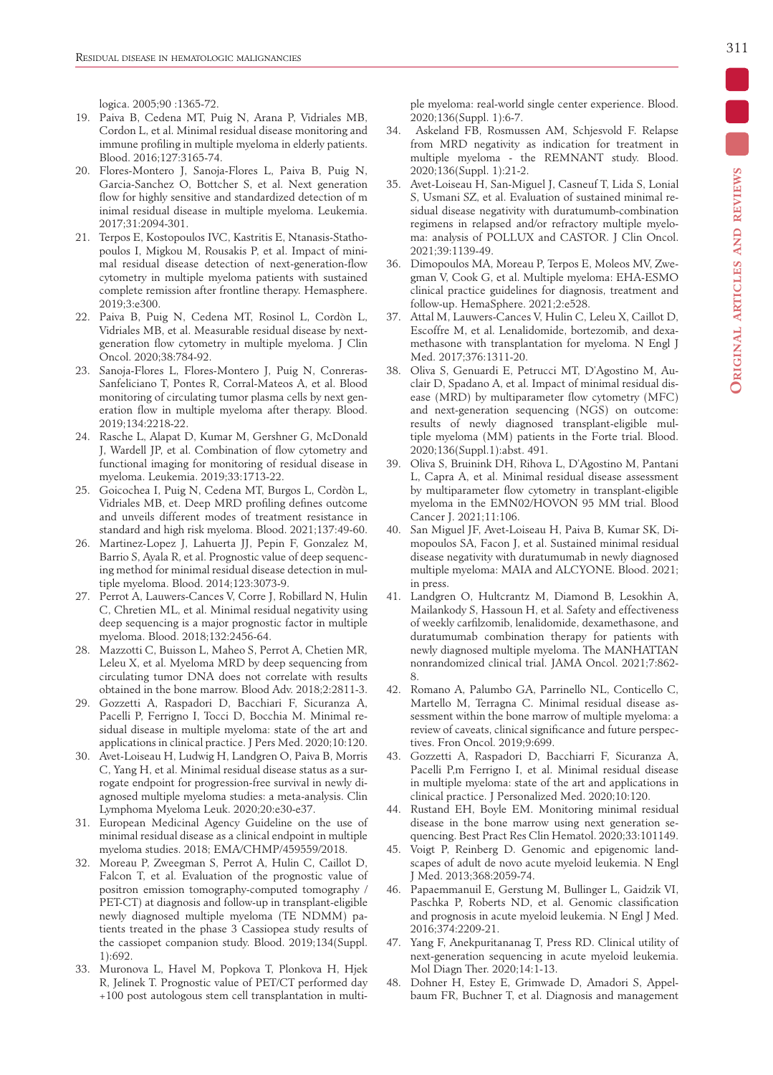logica. 2005;90 :1365-72.

- 19. Paiva B, Cedena MT, Puig N, Arana P, Vidriales MB, Cordon L, et al. Minimal residual disease monitoring and immune profiling in multiple myeloma in elderly patients. Blood. 2016;127:3165-74.
- 20. Flores-Montero J, Sanoja-Flores L, Paiva B, Puig N, Garcia-Sanchez O, Bottcher S, et al. Next generation flow for highly sensitive and standardized detection of m inimal residual disease in multiple myeloma. Leukemia. 2017;31:2094-301.
- 21. Terpos E, Kostopoulos IVC, Kastritis E, Ntanasis-Stathopoulos I, Migkou M, Rousakis P, et al. Impact of minimal residual disease detection of next-generation-flow cytometry in multiple myeloma patients with sustained complete remission after frontline therapy. Hemasphere. 2019;3:e300.
- 22. Paiva B, Puig N, Cedena MT, Rosinol L, Cordòn L, Vidriales MB, et al. Measurable residual disease by nextgeneration flow cytometry in multiple myeloma. J Clin Oncol. 2020;38:784-92.
- 23. Sanoja-Flores L, Flores-Montero J, Puig N, Conreras-Sanfeliciano T, Pontes R, Corral-Mateos A, et al. Blood monitoring of circulating tumor plasma cells by next generation flow in multiple myeloma after therapy. Blood. 2019;134:2218-22.
- 24. Rasche L, Alapat D, Kumar M, Gershner G, McDonald J, Wardell JP, et al. Combination of flow cytometry and functional imaging for monitoring of residual disease in myeloma. Leukemia. 2019;33:1713-22.
- 25. Goicochea I, Puig N, Cedena MT, Burgos L, Cordòn L, Vidriales MB, et. Deep MRD profiling defines outcome and unveils different modes of treatment resistance in standard and high risk myeloma. Blood. 2021;137:49-60.
- 26. Martinez-Lopez J, Lahuerta JJ, Pepin F, Gonzalez M, Barrio S, Ayala R, et al. Prognostic value of deep sequencing method for minimal residual disease detection in multiple myeloma. Blood. 2014;123:3073-9.
- 27. Perrot A, Lauwers-Cances V, Corre J, Robillard N, Hulin C, Chretien ML, et al. Minimal residual negativity using deep sequencing is a major prognostic factor in multiple myeloma. Blood. 2018;132:2456-64.
- 28. Mazzotti C, Buisson L, Maheo S, Perrot A, Chetien MR, Leleu X, et al. Myeloma MRD by deep sequencing from circulating tumor DNA does not correlate with results obtained in the bone marrow. Blood Adv. 2018;2:2811-3.
- 29. Gozzetti A, Raspadori D, Bacchiari F, Sicuranza A, Pacelli P, Ferrigno I, Tocci D, Bocchia M. Minimal residual disease in multiple myeloma: state of the art and applications in clinical practice. J Pers Med. 2020;10:120.
- 30. Avet-Loiseau H, Ludwig H, Landgren O, Paiva B, Morris C, Yang H, et al. Minimal residual disease status as a surrogate endpoint for progression-free survival in newly diagnosed multiple myeloma studies: a meta-analysis. Clin Lymphoma Myeloma Leuk. 2020;20:e30-e37.
- 31. European Medicinal Agency Guideline on the use of minimal residual disease as a clinical endpoint in multiple myeloma studies. 2018; EMA/CHMP/459559/2018.
- 32. Moreau P, Zweegman S, Perrot A, Hulin C, Caillot D, Falcon T, et al. Evaluation of the prognostic value of positron emission tomography-computed tomography / PET-CT) at diagnosis and follow-up in transplant-eligible newly diagnosed multiple myeloma (TE NDMM) patients treated in the phase 3 Cassiopea study results of the cassiopet companion study. Blood. 2019;134(Suppl. 1):692.
- 33. Muronova L, Havel M, Popkova T, Plonkova H, Hjek R, Jelinek T. Prognostic value of PET/CT performed day +100 post autologous stem cell transplantation in multi-

ple myeloma: real-world single center experience. Blood. 2020;136(Suppl. 1):6-7.

- 34. Askeland FB, Rosmussen AM, Schjesvold F. Relapse from MRD negativity as indication for treatment in multiple myeloma - the REMNANT study. Blood. 2020;136(Suppl. 1):21-2.
- 35. Avet-Loiseau H, San-Miguel J, Casneuf T, Lida S, Lonial S, Usmani SZ, et al. Evaluation of sustained minimal residual disease negativity with duratumumb-combination regimens in relapsed and/or refractory multiple myeloma: analysis of POLLUX and CASTOR. J Clin Oncol. 2021;39:1139-49.
- 36. Dimopoulos MA, Moreau P, Terpos E, Moleos MV, Zwegman V, Cook G, et al. Multiple myeloma: EHA-ESMO clinical practice guidelines for diagnosis, treatment and follow-up. HemaSphere. 2021;2:e528.
- 37. Attal M, Lauwers-Cances V, Hulin C, Leleu X, Caillot D, Escoffre M, et al. Lenalidomide, bortezomib, and dexamethasone with transplantation for myeloma. N Engl J Med. 2017;376:1311-20.
- 38. Oliva S, Genuardi E, Petrucci MT, D'Agostino M, Auclair D, Spadano A, et al. Impact of minimal residual disease (MRD) by multiparameter flow cytometry (MFC) and next-generation sequencing (NGS) on outcome: results of newly diagnosed transplant-eligible multiple myeloma (MM) patients in the Forte trial. Blood. 2020;136(Suppl.1):abst. 491.
- 39. Oliva S, Bruinink DH, Rihova L, D'Agostino M, Pantani L, Capra A, et al. Minimal residual disease assessment by multiparameter flow cytometry in transplant-eligible myeloma in the EMN02/HOVON 95 MM trial. Blood Cancer J. 2021;11:106.
- 40. San Miguel JF, Avet-Loiseau H, Paiva B, Kumar SK, Dimopoulos SA, Facon J, et al. Sustained minimal residual disease negativity with duratumumab in newly diagnosed multiple myeloma: MAIA and ALCYONE. Blood. 2021; in press.
- 41. Landgren O, Hultcrantz M, Diamond B, Lesokhin A, Mailankody S, Hassoun H, et al. Safety and effectiveness of weekly carfilzomib, lenalidomide, dexamethasone, and duratumumab combination therapy for patients with newly diagnosed multiple myeloma. The MANHATTAN nonrandomized clinical trial. JAMA Oncol. 2021;7:862- 8.
- 42. Romano A, Palumbo GA, Parrinello NL, Conticello C, Martello M, Terragna C. Minimal residual disease assessment within the bone marrow of multiple myeloma: a review of caveats, clinical significance and future perspectives. Fron Oncol. 2019;9:699.
- 43. Gozzetti A, Raspadori D, Bacchiarri F, Sicuranza A, Pacelli P,m Ferrigno I, et al. Minimal residual disease in multiple myeloma: state of the art and applications in clinical practice. J Personalized Med. 2020;10:120.
- 44. Rustand EH, Boyle EM. Monitoring minimal residual disease in the bone marrow using next generation sequencing. Best Pract Res Clin Hematol. 2020;33:101149.
- 45. Voigt P, Reinberg D. Genomic and epigenomic landscapes of adult de novo acute myeloid leukemia. N Engl J Med. 2013;368:2059-74.
- 46. Papaemmanuil E, Gerstung M, Bullinger L, Gaidzik VI, Paschka P, Roberts ND, et al. Genomic classification and prognosis in acute myeloid leukemia. N Engl J Med. 2016;374:2209-21.
- 47. Yang F, Anekpuritananag T, Press RD. Clinical utility of next-generation sequencing in acute myeloid leukemia. Mol Diagn Ther. 2020;14:1-13.
- 48. Dohner H, Estey E, Grimwade D, Amadori S, Appelbaum FR, Buchner T, et al. Diagnosis and management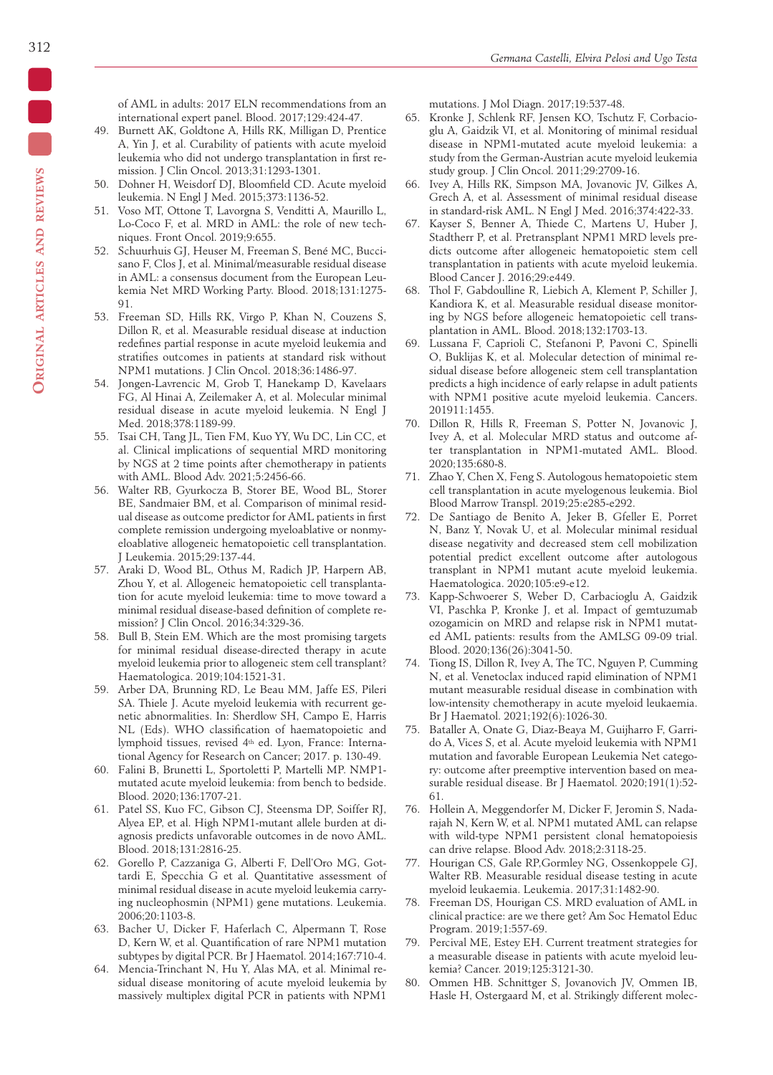of AML in adults: 2017 ELN recommendations from an international expert panel. Blood. 2017;129:424-47.

- 49. Burnett AK, Goldtone A, Hills RK, Milligan D, Prentice A, Yin J, et al. Curability of patients with acute myeloid leukemia who did not undergo transplantation in first remission. J Clin Oncol. 2013;31:1293-1301.
- 50. Dohner H, Weisdorf DJ, Bloomfield CD. Acute myeloid leukemia. N Engl J Med. 2015;373:1136-52.
- 51. Voso MT, Ottone T, Lavorgna S, Venditti A, Maurillo L, Lo-Coco F, et al. MRD in AML: the role of new techniques. Front Oncol. 2019;9:655.
- 52. Schuurhuis GJ, Heuser M, Freeman S, Bené MC, Buccisano F, Clos J, et al. Minimal/measurable residual disease in AML: a consensus document from the European Leukemia Net MRD Working Party. Blood. 2018;131:1275- 91.
- 53. Freeman SD, Hills RK, Virgo P, Khan N, Couzens S, Dillon R, et al. Measurable residual disease at induction redefines partial response in acute myeloid leukemia and stratifies outcomes in patients at standard risk without NPM1 mutations. J Clin Oncol. 2018;36:1486-97.
- 54. Jongen-Lavrencic M, Grob T, Hanekamp D, Kavelaars FG, Al Hinai A, Zeilemaker A, et al. Molecular minimal residual disease in acute myeloid leukemia. N Engl J Med. 2018;378:1189-99.
- 55. Tsai CH, Tang JL, Tien FM, Kuo YY, Wu DC, Lin CC, et al. Clinical implications of sequential MRD monitoring by NGS at 2 time points after chemotherapy in patients with AML. Blood Adv. 2021;5:2456-66.
- 56. Walter RB, Gyurkocza B, Storer BE, Wood BL, Storer BE, Sandmaier BM, et al. Comparison of minimal residual disease as outcome predictor for AML patients in first complete remission undergoing myeloablative or nonmyeloablative allogeneic hematopoietic cell transplantation. J Leukemia. 2015;29:137-44.
- 57. Araki D, Wood BL, Othus M, Radich JP, Harpern AB, Zhou Y, et al. Allogeneic hematopoietic cell transplantation for acute myeloid leukemia: time to move toward a minimal residual disease-based definition of complete remission? J Clin Oncol. 2016;34:329-36.
- 58. Bull B, Stein EM. Which are the most promising targets for minimal residual disease-directed therapy in acute myeloid leukemia prior to allogeneic stem cell transplant? Haematologica. 2019;104:1521-31.
- 59. Arber DA, Brunning RD, Le Beau MM, Jaffe ES, Pileri SA. Thiele J. Acute myeloid leukemia with recurrent genetic abnormalities. In: Sherdlow SH, Campo E, Harris NL (Eds). WHO classification of haematopoietic and lymphoid tissues, revised 4th ed. Lyon, France: International Agency for Research on Cancer; 2017. p. 130-49.
- 60. Falini B, Brunetti L, Sportoletti P, Martelli MP. NMP1 mutated acute myeloid leukemia: from bench to bedside. Blood. 2020;136:1707-21.
- 61. Patel SS, Kuo FC, Gibson CJ, Steensma DP, Soiffer RJ, Alyea EP, et al. High NPM1-mutant allele burden at diagnosis predicts unfavorable outcomes in de novo AML. Blood. 2018;131:2816-25.
- 62. Gorello P, Cazzaniga G, Alberti F, Dell'Oro MG, Gottardi E, Specchia G et al. Quantitative assessment of minimal residual disease in acute myeloid leukemia carrying nucleophosmin (NPM1) gene mutations. Leukemia. 2006;20:1103-8.
- 63. Bacher U, Dicker F, Haferlach C, Alpermann T, Rose D, Kern W, et al. Quantification of rare NPM1 mutation subtypes by digital PCR. Br J Haematol. 2014;167:710-4.
- 64. Mencia-Trinchant N, Hu Y, Alas MA, et al. Minimal residual disease monitoring of acute myeloid leukemia by massively multiplex digital PCR in patients with NPM1

mutations. J Mol Diagn. 2017;19:537-48.

- 65. Kronke J, Schlenk RF, Jensen KO, Tschutz F, Corbacioglu A, Gaidzik VI, et al. Monitoring of minimal residual disease in NPM1-mutated acute myeloid leukemia: a study from the German-Austrian acute myeloid leukemia study group. J Clin Oncol. 2011;29:2709-16.
- 66. Ivey A, Hills RK, Simpson MA, Jovanovic JV, Gilkes A, Grech A, et al. Assessment of minimal residual disease in standard-risk AML. N Engl J Med. 2016;374:422-33.
- 67. Kayser S, Benner A, Thiede C, Martens U, Huber J, Stadtherr P, et al. Pretransplant NPM1 MRD levels predicts outcome after allogeneic hematopoietic stem cell transplantation in patients with acute myeloid leukemia. Blood Cancer J. 2016;29:e449.
- 68. Thol F, Gabdoulline R, Liebich A, Klement P, Schiller J, Kandiora K, et al. Measurable residual disease monitoring by NGS before allogeneic hematopoietic cell transplantation in AML. Blood. 2018;132:1703-13.
- 69. Lussana F, Caprioli C, Stefanoni P, Pavoni C, Spinelli O, Buklijas K, et al. Molecular detection of minimal residual disease before allogeneic stem cell transplantation predicts a high incidence of early relapse in adult patients with NPM1 positive acute myeloid leukemia. Cancers. 201911:1455.
- 70. Dillon R, Hills R, Freeman S, Potter N, Jovanovic J, Ivey A, et al. Molecular MRD status and outcome after transplantation in NPM1-mutated AML. Blood. 2020;135:680-8.
- 71. Zhao Y, Chen X, Feng S. Autologous hematopoietic stem cell transplantation in acute myelogenous leukemia. Biol Blood Marrow Transpl. 2019;25:e285-e292.
- 72. De Santiago de Benito A, Jeker B, Gfeller E, Porret N, Banz Y, Novak U, et al. Molecular minimal residual disease negativity and decreased stem cell mobilization potential predict excellent outcome after autologous transplant in NPM1 mutant acute myeloid leukemia. Haematologica. 2020;105:e9-e12.
- 73. Kapp-Schwoerer S, Weber D, Carbacioglu A, Gaidzik VI, Paschka P, Kronke J, et al. Impact of gemtuzumab ozogamicin on MRD and relapse risk in NPM1 mutated AML patients: results from the AMLSG 09-09 trial. Blood. 2020;136(26):3041-50.
- 74. Tiong IS, Dillon R, Ivey A, The TC, Nguyen P, Cumming N, et al. Venetoclax induced rapid elimination of NPM1 mutant measurable residual disease in combination with low-intensity chemotherapy in acute myeloid leukaemia. Br J Haematol. 2021;192(6):1026-30.
- 75. Bataller A, Onate G, Diaz-Beaya M, Guijharro F, Garrido A, Vices S, et al. Acute myeloid leukemia with NPM1 mutation and favorable European Leukemia Net category: outcome after preemptive intervention based on measurable residual disease. Br J Haematol. 2020;191(1):52- 61.
- 76. Hollein A, Meggendorfer M, Dicker F, Jeromin S, Nadarajah N, Kern W, et al. NPM1 mutated AML can relapse with wild-type NPM1 persistent clonal hematopoiesis can drive relapse. Blood Adv. 2018;2:3118-25.
- 77. Hourigan CS, Gale RP,Gormley NG, Ossenkoppele GJ, Walter RB. Measurable residual disease testing in acute myeloid leukaemia. Leukemia. 2017;31:1482-90.
- 78. Freeman DS, Hourigan CS. MRD evaluation of AML in clinical practice: are we there get? Am Soc Hematol Educ Program. 2019;1:557-69.
- 79. Percival ME, Estey EH. Current treatment strategies for a measurable disease in patients with acute myeloid leukemia? Cancer. 2019;125:3121-30.
- 80. Ommen HB. Schnittger S, Jovanovich JV, Ommen IB, Hasle H, Ostergaard M, et al. Strikingly different molec-